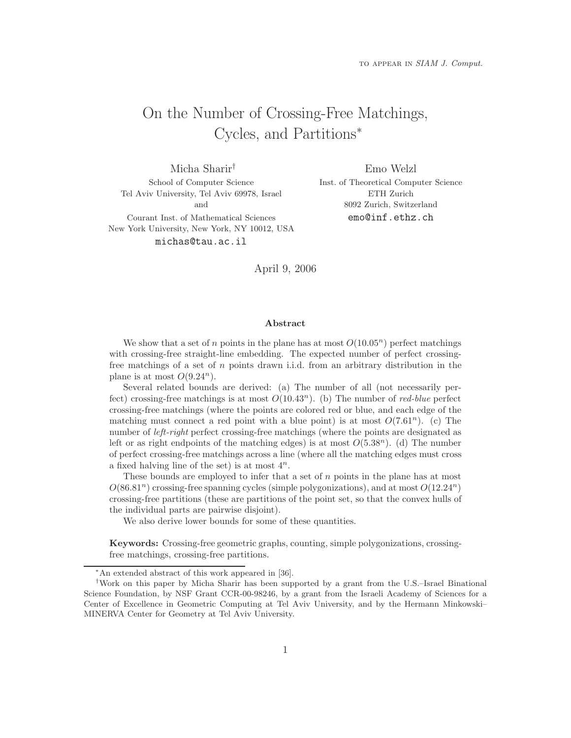# On the Number of Crossing-Free Matchings, Cycles, and Partitions<sup>∗</sup>

Micha Sharir† School of Computer Science Tel Aviv University, Tel Aviv 69978, Israel and

Courant Inst. of Mathematical Sciences New York University, New York, NY 10012, USA michas@tau.ac.il

Emo Welzl Inst. of Theoretical Computer Science ETH Zurich 8092 Zurich, Switzerland emo@inf.ethz.ch

April 9, 2006

#### Abstract

We show that a set of n points in the plane has at most  $O(10.05<sup>n</sup>)$  perfect matchings with crossing-free straight-line embedding. The expected number of perfect crossingfree matchings of a set of  $n$  points drawn i.i.d. from an arbitrary distribution in the plane is at most  $O(9.24^n)$ .

Several related bounds are derived: (a) The number of all (not necessarily perfect) crossing-free matchings is at most  $O(10.43^n)$ . (b) The number of *red-blue* perfect crossing-free matchings (where the points are colored red or blue, and each edge of the matching must connect a red point with a blue point) is at most  $O(7.61<sup>n</sup>)$ . (c) The number of *left-right* perfect crossing-free matchings (where the points are designated as left or as right endpoints of the matching edges) is at most  $O(5.38<sup>n</sup>)$ . (d) The number of perfect crossing-free matchings across a line (where all the matching edges must cross a fixed halving line of the set) is at most  $4^n$ .

These bounds are employed to infer that a set of  $n$  points in the plane has at most  $O(86.81<sup>n</sup>)$  crossing-free spanning cycles (simple polygonizations), and at most  $O(12.24<sup>n</sup>)$ crossing-free partitions (these are partitions of the point set, so that the convex hulls of the individual parts are pairwise disjoint).

We also derive lower bounds for some of these quantities.

Keywords: Crossing-free geometric graphs, counting, simple polygonizations, crossingfree matchings, crossing-free partitions.

<sup>∗</sup>An extended abstract of this work appeared in [36].

<sup>†</sup>Work on this paper by Micha Sharir has been supported by a grant from the U.S.–Israel Binational Science Foundation, by NSF Grant CCR-00-98246, by a grant from the Israeli Academy of Sciences for a Center of Excellence in Geometric Computing at Tel Aviv University, and by the Hermann Minkowski– MINERVA Center for Geometry at Tel Aviv University.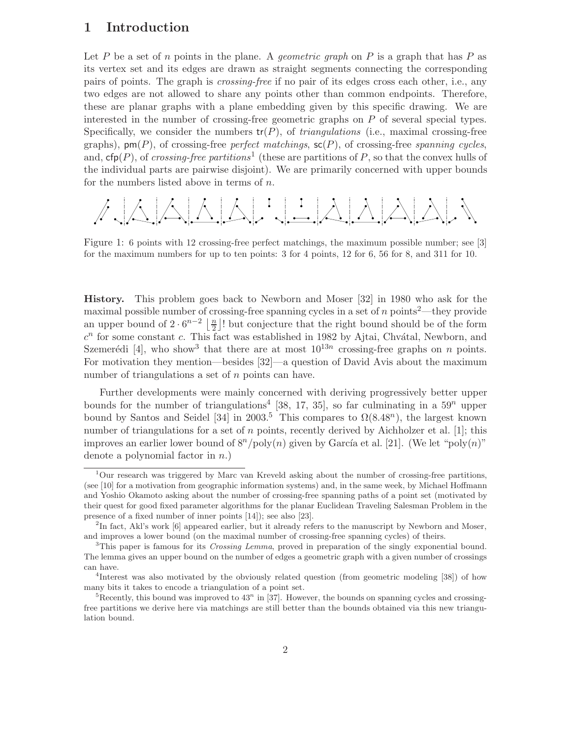## 1 Introduction

Let P be a set of n points in the plane. A *geometric graph* on P is a graph that has P as its vertex set and its edges are drawn as straight segments connecting the corresponding pairs of points. The graph is crossing-free if no pair of its edges cross each other, i.e., any two edges are not allowed to share any points other than common endpoints. Therefore, these are planar graphs with a plane embedding given by this specific drawing. We are interested in the number of crossing-free geometric graphs on P of several special types. Specifically, we consider the numbers  $tr(P)$ , of *triangulations* (i.e., maximal crossing-free graphs),  $\mathsf{pm}(P)$ , of crossing-free perfect matchings,  $\mathsf{sc}(P)$ , of crossing-free spanning cycles, and,  $cfp(P)$ , of crossing-free partitions<sup>1</sup> (these are partitions of P, so that the convex hulls of the individual parts are pairwise disjoint). We are primarily concerned with upper bounds for the numbers listed above in terms of n.

$$
\mathcal{A}\setminus\mathcal{A}\setminus\mathcal{A}\setminus\mathcal{B}\setminus\mathcal{B}\setminus\mathcal{B}\setminus\mathcal{B}\setminus\mathcal{B}\setminus\mathcal{B}\setminus\mathcal{B}\setminus\mathcal{B}
$$

Figure 1: 6 points with 12 crossing-free perfect matchings, the maximum possible number; see [3] for the maximum numbers for up to ten points: 3 for 4 points, 12 for 6, 56 for 8, and 311 for 10.

History. This problem goes back to Newborn and Moser [32] in 1980 who ask for the maximal possible number of crossing-free spanning cycles in a set of  $n$  points<sup>2</sup>—they provide an upper bound of  $2 \cdot 6^{n-2} \left\lfloor \frac{n}{2} \right\rfloor!$  but conjecture that the right bound should be of the form  $c^n$  for some constant c. This fact was established in 1982 by Ajtai, Chvátal, Newborn, and Szemerédi [4], who show<sup>3</sup> that there are at most  $10^{13n}$  crossing-free graphs on n points. For motivation they mention—besides [32]—a question of David Avis about the maximum number of triangulations a set of n points can have.

Further developments were mainly concerned with deriving progressively better upper bounds for the number of triangulations<sup>4</sup> [38, 17, 35], so far culminating in a  $59^n$  upper bound by Santos and Seidel [34] in 2003.<sup>5</sup> This compares to  $\Omega(8.48^n)$ , the largest known number of triangulations for a set of  $n$  points, recently derived by Aichholzer et al. [1]; this improves an earlier lower bound of  $8^n/\text{poly}(n)$  given by García et al. [21]. (We let "poly $(n)$ " denote a polynomial factor in  $n$ .)

 $1$ Our research was triggered by Marc van Kreveld asking about the number of crossing-free partitions, (see [10] for a motivation from geographic information systems) and, in the same week, by Michael Hoffmann and Yoshio Okamoto asking about the number of crossing-free spanning paths of a point set (motivated by their quest for good fixed parameter algorithms for the planar Euclidean Traveling Salesman Problem in the presence of a fixed number of inner points [14]); see also [23].

<sup>&</sup>lt;sup>2</sup>In fact, Akl's work [6] appeared earlier, but it already refers to the manuscript by Newborn and Moser, and improves a lower bound (on the maximal number of crossing-free spanning cycles) of theirs.

<sup>&</sup>lt;sup>3</sup>This paper is famous for its *Crossing Lemma*, proved in preparation of the singly exponential bound. The lemma gives an upper bound on the number of edges a geometric graph with a given number of crossings can have.

<sup>4</sup>Interest was also motivated by the obviously related question (from geometric modeling [38]) of how many bits it takes to encode a triangulation of a point set.

<sup>&</sup>lt;sup>5</sup>Recently, this bound was improved to  $43^n$  in [37]. However, the bounds on spanning cycles and crossingfree partitions we derive here via matchings are still better than the bounds obtained via this new triangulation bound.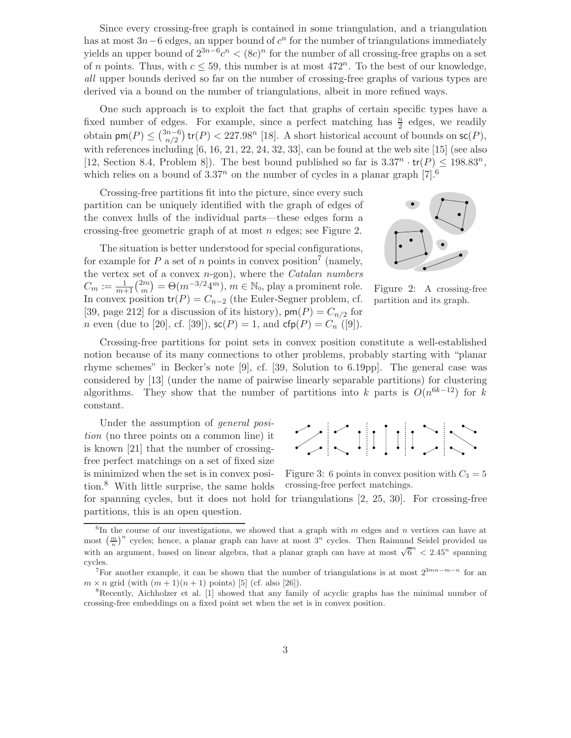Since every crossing-free graph is contained in some triangulation, and a triangulation has at most  $3n-6$  edges, an upper bound of  $c<sup>n</sup>$  for the number of triangulations immediately yields an upper bound of  $2^{3n-6}c^n < (8c)^n$  for the number of all crossing-free graphs on a set of n points. Thus, with  $c \leq 59$ , this number is at most  $472^n$ . To the best of our knowledge, all upper bounds derived so far on the number of crossing-free graphs of various types are derived via a bound on the number of triangulations, albeit in more refined ways.

One such approach is to exploit the fact that graphs of certain specific types have a fixed number of edges. For example, since a perfect matching has  $\frac{n}{2}$  edges, we readily obtain  $\mathsf{pm}(P) \leq \binom{3n-6}{n/2}$  tr(*P*) < 227.98<sup>n</sup> [18]. A short historical account of bounds on  $\mathsf{sc}(P)$ , with references including [6, 16, 21, 22, 24, 32, 33], can be found at the web site [15] (see also [12, Section 8.4, Problem 8]). The best bound published so far is  $3.37^n \cdot tr(P) \le 198.83^n$ , which relies on a bound of  $3.37^n$  on the number of cycles in a planar graph  $[7]$ .<sup>6</sup>

Crossing-free partitions fit into the picture, since every such partition can be uniquely identified with the graph of edges of the convex hulls of the individual parts—these edges form a crossing-free geometric graph of at most n edges; see Figure 2.

The situation is better understood for special configurations, for example for P a set of n points in convex position<sup>7</sup> (namely, the vertex set of a convex  $n$ -gon), where the *Catalan numbers*  $C_m := \frac{1}{m+1} {2m \choose m} = \Theta(m^{-3/2} 4^m), m \in \mathbb{N}_0$ , play a prominent role. In convex position  $tr(P) = C_{n-2}$  (the Euler-Segner problem, cf. [39, page 212] for a discussion of its history),  $\mathsf{pm}(P) = C_{n/2}$  for *n* even (due to [20], cf. [39]),  $\mathsf{sc}(P) = 1$ , and  $\mathsf{cfp}(P) = C_n$  ([9]).



Figure 2: A crossing-free partition and its graph.

Crossing-free partitions for point sets in convex position constitute a well-established notion because of its many connections to other problems, probably starting with "planar rhyme schemes" in Becker's note [9], cf. [39, Solution to 6.19pp]. The general case was considered by [13] (under the name of pairwise linearly separable partitions) for clustering algorithms. They show that the number of partitions into k parts is  $O(n^{6k-12})$  for k constant.

Under the assumption of *general posi*tion (no three points on a common line) it is known [21] that the number of crossingfree perfect matchings on a set of fixed size is minimized when the set is in convex position.<sup>8</sup> With little surprise, the same holds



Figure 3: 6 points in convex position with  $C_3 = 5$ crossing-free perfect matchings.

for spanning cycles, but it does not hold for triangulations [2, 25, 30]. For crossing-free partitions, this is an open question.

 ${}^{6}$ In the course of our investigations, we showed that a graph with m edges and n vertices can have at most  $\left(\frac{m}{n}\right)^n$  cycles; hence, a planar graph can have at most  $3^n$  cycles. Then Raimund Seidel provided us with an argument, based on linear algebra, that a planar graph can have at most  $\sqrt{6}^n < 2.45^n$  spanning cycles.

<sup>&</sup>lt;sup>7</sup>For another example, it can be shown that the number of triangulations is at most  $2^{3mn-m-n}$  for an  $m \times n$  grid (with  $(m + 1)(n + 1)$  points) [5] (cf. also [26]).<br><sup>8</sup>Recently, Aichholzer et al. [1] showed that any family of acyclic graphs has the minimal number of

crossing-free embeddings on a fixed point set when the set is in convex position.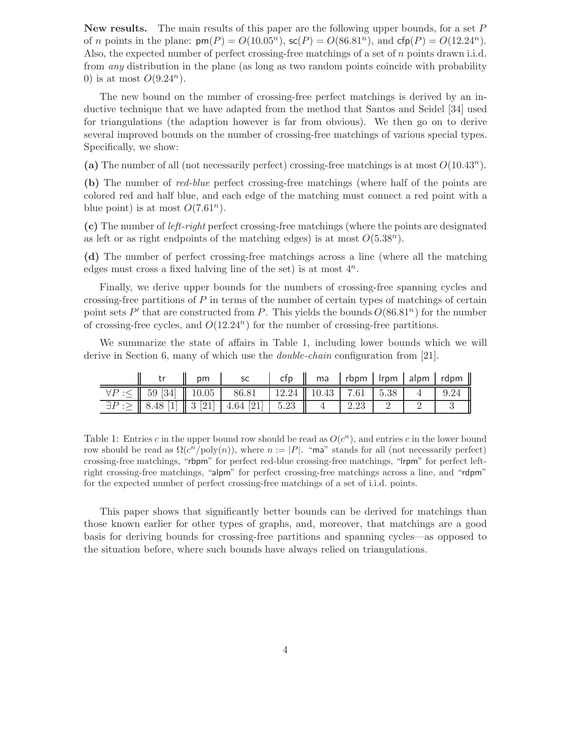**New results.** The main results of this paper are the following upper bounds, for a set  $P$ of *n* points in the plane:  $\text{pm}(P) = O(10.05^n)$ ,  $\text{sc}(P) = O(86.81^n)$ , and  $\text{cfp}(P) = O(12.24^n)$ . Also, the expected number of perfect crossing-free matchings of a set of n points drawn i.i.d. from *any* distribution in the plane (as long as two random points coincide with probability 0) is at most  $O(9.24^n)$ .

The new bound on the number of crossing-free perfect matchings is derived by an inductive technique that we have adapted from the method that Santos and Seidel [34] used for triangulations (the adaption however is far from obvious). We then go on to derive several improved bounds on the number of crossing-free matchings of various special types. Specifically, we show:

(a) The number of all (not necessarily perfect) crossing-free matchings is at most  $O(10.43^n)$ .

(b) The number of red-blue perfect crossing-free matchings (where half of the points are colored red and half blue, and each edge of the matching must connect a red point with a blue point) is at most  $O(7.61^n)$ .

(c) The number of left-right perfect crossing-free matchings (where the points are designated as left or as right endpoints of the matching edges) is at most  $O(5.38^n)$ .

(d) The number of perfect crossing-free matchings across a line (where all the matching edges must cross a fixed halving line of the set) is at most  $4^n$ .

Finally, we derive upper bounds for the numbers of crossing-free spanning cycles and crossing-free partitions of  $P$  in terms of the number of certain types of matchings of certain point sets P' that are constructed from P. This yields the bounds  $O(86.81^n)$  for the number of crossing-free cycles, and  $O(12.24<sup>n</sup>)$  for the number of crossing-free partitions.

We summarize the state of affairs in Table 1, including lower bounds which we will derive in Section 6, many of which use the *double-chain* configuration from [21].

|  | pm |                                                                                                                                                                | $\parallel$ ma   rbpm   Irpm   alpm   rdpm $\parallel$ |  |  |
|--|----|----------------------------------------------------------------------------------------------------------------------------------------------------------------|--------------------------------------------------------|--|--|
|  |    | $\forall P:\leq \parallel 59 \; [34] \parallel 10.05 \parallel 86.81 \parallel 12.24 \parallel 10.43 \parallel 7.61 \parallel 5.38 \parallel 4 \parallel 9.24$ |                                                        |  |  |
|  |    | $\exists P:\geq \parallel 8.48$ [1] $\parallel 3$ [21] $\parallel 4.64$ [21] $\parallel 5.23$ $\parallel 4$ $\parallel 2.23$                                   |                                                        |  |  |

Table 1: Entries c in the upper bound row should be read as  $O(c^n)$ , and entries c in the lower bound row should be read as  $\Omega(c^n/\text{poly}(n))$ , where  $n := |P|$ . "ma" stands for all (not necessarily perfect) crossing-free matchings, "rbpm" for perfect red-blue crossing-free matchings, "lrpm" for perfect leftright crossing-free matchings, "alpm" for perfect crossing-free matchings across a line, and "rdpm" for the expected number of perfect crossing-free matchings of a set of i.i.d. points.

This paper shows that significantly better bounds can be derived for matchings than those known earlier for other types of graphs, and, moreover, that matchings are a good basis for deriving bounds for crossing-free partitions and spanning cycles—as opposed to the situation before, where such bounds have always relied on triangulations.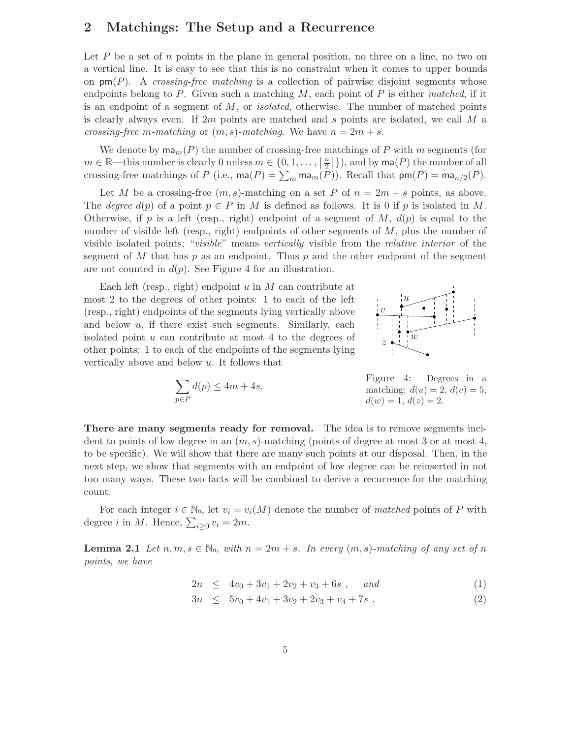## 2 Matchings: The Setup and a Recurrence

Let  $P$  be a set of  $n$  points in the plane in general position, no three on a line, no two on a vertical line. It is easy to see that this is no constraint when it comes to upper bounds on  $\textsf{pm}(P)$ . A crossing-free matching is a collection of pairwise disjoint segments whose endpoints belong to P. Given such a matching  $M$ , each point of P is either matched, if it is an endpoint of a segment of  $M$ , or *isolated*, otherwise. The number of matched points is clearly always even. If 2m points are matched and s points are isolated, we call  $M$  a crossing-free m-matching or  $(m, s)$ -matching. We have  $n = 2m + s$ .

We denote by  $\text{ma}_m(P)$  the number of crossing-free matchings of P with m segments (for  $m \in \mathbb{R}$ —this number is clearly 0 unless  $m \in \{0, 1, \ldots, \lfloor \frac{n}{2} \rfloor\}$ , and by  $\mathsf{ma}(P)$  the number of all crossing-free matchings of P (i.e.,  $\text{ma}(P) = \sum_m \text{ma}_m(P)$ ). Recall that  $\text{pm}(P) = \text{ma}_{n/2}(P)$ .

Let M be a crossing-free  $(m, s)$ -matching on a set P of  $n = 2m + s$  points, as above. The degree  $d(p)$  of a point  $p \in P$  in M is defined as follows. It is 0 if p is isolated in M. Otherwise, if p is a left (resp., right) endpoint of a segment of M,  $d(p)$  is equal to the number of visible left (resp., right) endpoints of other segments of M, plus the number of visible isolated points; "visible" means vertically visible from the relative interior of the segment of  $M$  that has  $p$  as an endpoint. Thus  $p$  and the other endpoint of the segment are not counted in  $d(p)$ . See Figure 4 for an illustration.

Each left (resp., right) endpoint  $u$  in  $M$  can contribute at most 2 to the degrees of other points: 1 to each of the left (resp., right) endpoints of the segments lying vertically above and below  $u$ , if there exist such segments. Similarly, each isolated point  $u$  can contribute at most  $4$  to the degrees of other points: 1 to each of the endpoints of the segments lying vertically above and below  $u$ . It follows that



$$
\sum_{p \in P} d(p) \le 4m + 4s.
$$

Figure 4: Degrees in a matching:  $d(u) = 2$ ,  $d(v) = 5$ ,  $d(w) = 1, d(z) = 2.$ 

There are many segments ready for removal. The idea is to remove segments incident to points of low degree in an  $(m, s)$ -matching (points of degree at most 3 or at most 4, to be specific). We will show that there are many such points at our disposal. Then, in the next step, we show that segments with an endpoint of low degree can be reinserted in not too many ways. These two facts will be combined to derive a recurrence for the matching count.

For each integer  $i \in \mathbb{N}_0$ , let  $v_i = v_i(M)$  denote the number of matched points of P with degree *i* in *M*. Hence,  $\sum_{i\geq 0} v_i = 2m$ .

**Lemma 2.1** Let  $n, m, s \in \mathbb{N}_0$ , with  $n = 2m + s$ . In every  $(m, s)$ -matching of any set of n points, we have

$$
2n \leq 4v_0 + 3v_1 + 2v_2 + v_3 + 6s , \quad and \tag{1}
$$

$$
3n \le 5v_0 + 4v_1 + 3v_2 + 2v_3 + v_4 + 7s \tag{2}
$$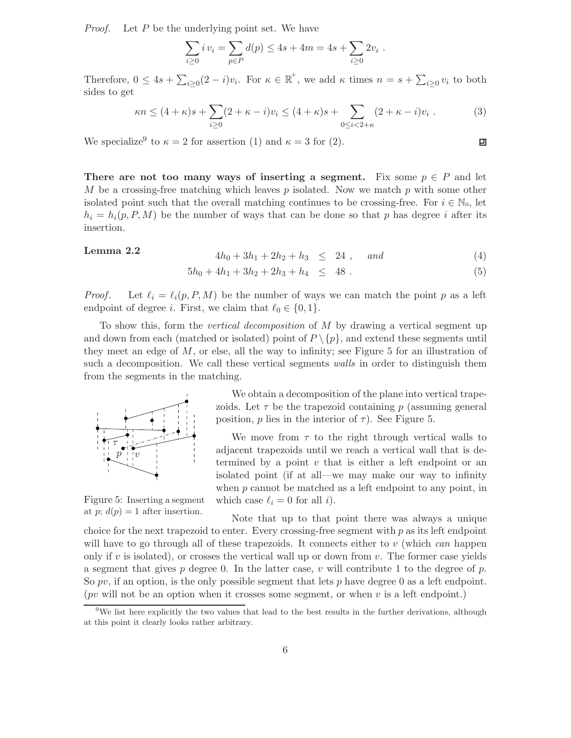Proof. Let P be the underlying point set. We have

$$
\sum_{i\geq 0} i v_i = \sum_{p\in P} d(p) \leq 4s + 4m = 4s + \sum_{i\geq 0} 2v_i .
$$

Therefore,  $0 \leq 4s + \sum_{i \geq 0} (2 - i)v_i$ . For  $\kappa \in \mathbb{R}^+$ , we add  $\kappa$  times  $n = s + \sum_{i \geq 0} v_i$  to both sides to get

$$
\kappa n \le (4 + \kappa)s + \sum_{i \ge 0} (2 + \kappa - i)v_i \le (4 + \kappa)s + \sum_{0 \le i < 2 + \kappa} (2 + \kappa - i)v_i \tag{3}
$$

We specialize<sup>9</sup> to  $\kappa = 2$  for assertion (1) and  $\kappa = 3$  for (2).

There are not too many ways of inserting a segment. Fix some  $p \in P$  and let M be a crossing-free matching which leaves p isolated. Now we match p with some other isolated point such that the overall matching continues to be crossing-free. For  $i \in \mathbb{N}_0$ , let  $h_i = h_i(p, P, M)$  be the number of ways that can be done so that p has degree i after its insertion.

**Lemma 2.2** 
$$
4h_0 + 3h_1 + 2h_2 + h_3 \leq 24
$$
, and (4)

口

$$
5h_0 + 4h_1 + 3h_2 + 2h_3 + h_4 \leq 48 . \tag{5}
$$

*Proof.* Let  $\ell_i = \ell_i(p, P, M)$  be the number of ways we can match the point p as a left endpoint of degree *i*. First, we claim that  $\ell_0 \in \{0, 1\}$ .

To show this, form the vertical decomposition of M by drawing a vertical segment up and down from each (matched or isolated) point of  $P \setminus \{p\}$ , and extend these segments until they meet an edge of  $M$ , or else, all the way to infinity; see Figure 5 for an illustration of such a decomposition. We call these vertical segments walls in order to distinguish them from the segments in the matching.



Figure 5: Inserting a segment at p;  $d(p) = 1$  after insertion.

We obtain a decomposition of the plane into vertical trapezoids. Let  $\tau$  be the trapezoid containing p (assuming general position, p lies in the interior of  $\tau$ ). See Figure 5.

We move from  $\tau$  to the right through vertical walls to adjacent trapezoids until we reach a vertical wall that is determined by a point  $v$  that is either a left endpoint or an isolated point (if at all—we may make our way to infinity when  $p$  cannot be matched as a left endpoint to any point, in which case  $\ell_i = 0$  for all i).

Note that up to that point there was always a unique choice for the next trapezoid to enter. Every crossing-free segment with  $p$  as its left endpoint will have to go through all of these trapezoids. It connects either to  $v$  (which can happen only if v is isolated), or crosses the vertical wall up or down from  $v$ . The former case yields a segment that gives p degree 0. In the latter case, v will contribute 1 to the degree of  $p$ . So  $pv$ , if an option, is the only possible segment that lets p have degree 0 as a left endpoint. (*pv* will not be an option when it crosses some segment, or when  $v$  is a left endpoint.)

<sup>&</sup>lt;sup>9</sup>We list here explicitly the two values that lead to the best results in the further derivations, although at this point it clearly looks rather arbitrary.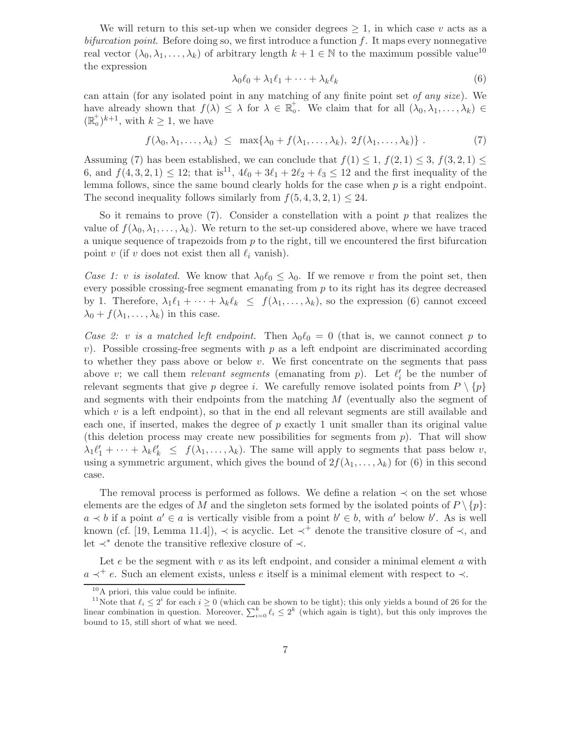We will return to this set-up when we consider degrees  $\geq 1$ , in which case v acts as a bifurcation point. Before doing so, we first introduce a function  $f$ . It maps every nonnegative real vector  $(\lambda_0, \lambda_1, \ldots, \lambda_k)$  of arbitrary length  $k + 1 \in \mathbb{N}$  to the maximum possible value<sup>10</sup> the expression

$$
\lambda_0 \ell_0 + \lambda_1 \ell_1 + \dots + \lambda_k \ell_k \tag{6}
$$

can attain (for any isolated point in any matching of any finite point set of any size). We have already shown that  $f(\lambda) \leq \lambda$  for  $\lambda \in \mathbb{R}_0^+$ . We claim that for all  $(\lambda_0, \lambda_1, \ldots, \lambda_k) \in$  $(\mathbb{R}_0^+)^{k+1}$ , with  $k \geq 1$ , we have

$$
f(\lambda_0, \lambda_1, \dots, \lambda_k) \leq \max\{\lambda_0 + f(\lambda_1, \dots, \lambda_k), 2f(\lambda_1, \dots, \lambda_k)\}.
$$
 (7)

Assuming (7) has been established, we can conclude that  $f(1) \leq 1$ ,  $f(2, 1) \leq 3$ ,  $f(3, 2, 1) \leq$ 6, and  $f(4, 3, 2, 1) \le 12$ ; that is<sup>11</sup>,  $4\ell_0 + 3\ell_1 + 2\ell_2 + \ell_3 \le 12$  and the first inequality of the lemma follows, since the same bound clearly holds for the case when  $p$  is a right endpoint. The second inequality follows similarly from  $f(5, 4, 3, 2, 1) \leq 24$ .

So it remains to prove  $(7)$ . Consider a constellation with a point p that realizes the value of  $f(\lambda_0, \lambda_1, \ldots, \lambda_k)$ . We return to the set-up considered above, where we have traced a unique sequence of trapezoids from  $p$  to the right, till we encountered the first bifurcation point v (if v does not exist then all  $\ell_i$  vanish).

Case 1: v is isolated. We know that  $\lambda_0 \ell_0 \leq \lambda_0$ . If we remove v from the point set, then every possible crossing-free segment emanating from  $p$  to its right has its degree decreased by 1. Therefore,  $\lambda_1 \ell_1 + \cdots + \lambda_k \ell_k \leq f(\lambda_1, \ldots, \lambda_k)$ , so the expression (6) cannot exceed  $\lambda_0 + f(\lambda_1, \ldots, \lambda_k)$  in this case.

Case 2: v is a matched left endpoint. Then  $\lambda_0 \ell_0 = 0$  (that is, we cannot connect p to v). Possible crossing-free segments with  $p$  as a left endpoint are discriminated according to whether they pass above or below  $v$ . We first concentrate on the segments that pass above v; we call them *relevant segments* (emanating from  $p$ ). Let  $\ell'_i$  be the number of relevant segments that give p degree i. We carefully remove isolated points from  $P \setminus \{p\}$ and segments with their endpoints from the matching  $M$  (eventually also the segment of which  $v$  is a left endpoint), so that in the end all relevant segments are still available and each one, if inserted, makes the degree of  $p$  exactly 1 unit smaller than its original value (this deletion process may create new possibilities for segments from  $p$ ). That will show  $\lambda_1 \ell'_1 + \cdots + \lambda_k \ell'_k \leq f(\lambda_1, \ldots, \lambda_k)$ . The same will apply to segments that pass below v, using a symmetric argument, which gives the bound of  $2f(\lambda_1, \ldots, \lambda_k)$  for (6) in this second case.

The removal process is performed as follows. We define a relation  $\prec$  on the set whose elements are the edges of M and the singleton sets formed by the isolated points of  $P \setminus \{p\}$ :  $a \lt b$  if a point  $a' \in a$  is vertically visible from a point  $b' \in b$ , with  $a'$  below  $b'$ . As is well known (cf. [19, Lemma 11.4]),  $\prec$  is acyclic. Let  $\prec^+$  denote the transitive closure of  $\prec$ , and let ≺<sup>∗</sup> denote the transitive reflexive closure of ≺.

Let  $e$  be the segment with  $v$  as its left endpoint, and consider a minimal element  $a$  with  $a \prec^+ e$ . Such an element exists, unless e itself is a minimal element with respect to  $\prec$ .

<sup>10</sup>A priori, this value could be infinite.

<sup>&</sup>lt;sup>11</sup>Note that  $\ell_i \leq 2^i$  for each  $i \geq 0$  (which can be shown to be tight); this only yields a bound of 26 for the linear combination in question. Moreover,  $\sum_{i=0}^{k} \ell_i \leq 2^k$  (which again is tight), but this only improves the bound to 15, still short of what we need.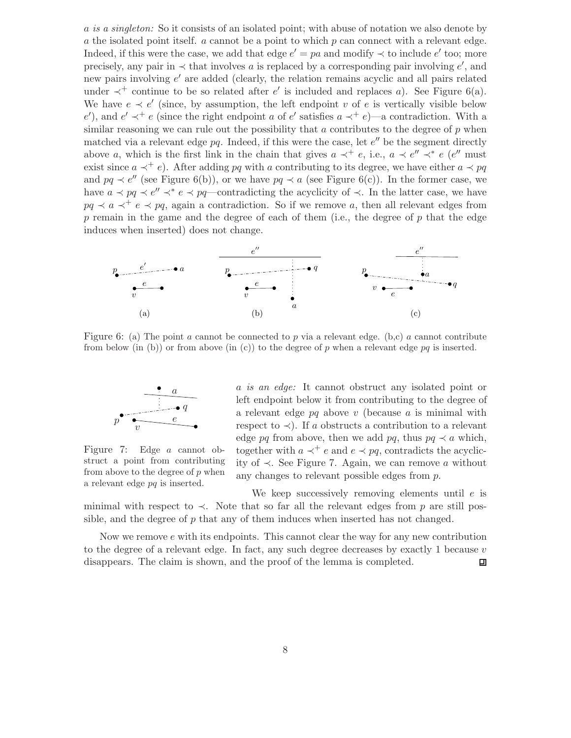a is a singleton: So it consists of an isolated point; with abuse of notation we also denote by a the isolated point itself.  $\alpha$  cannot be a point to which  $p$  can connect with a relevant edge. Indeed, if this were the case, we add that edge  $e' = pa$  and modify  $\prec$  to include  $e'$  too; more precisely, any pair in  $\prec$  that involves a is replaced by a corresponding pair involving e', and new pairs involving  $e'$  are added (clearly, the relation remains acyclic and all pairs related under  $\prec^+$  continue to be so related after e' is included and replaces a). See Figure 6(a). We have  $e \prec e'$  (since, by assumption, the left endpoint v of e is vertically visible below e'), and  $e' \prec^+ e$  (since the right endpoint a of e' satisfies  $a \prec^+ e$ )—a contradiction. With a similar reasoning we can rule out the possibility that a contributes to the degree of  $p$  when matched via a relevant edge  $pq$ . Indeed, if this were the case, let  $e''$  be the segment directly above a, which is the first link in the chain that gives  $a \prec^+ e$ , i.e.,  $a \prec e'' \prec^* e$  (e'' must exist since  $a \prec^+ e$ ). After adding pq with a contributing to its degree, we have either  $a \prec pq$ and  $pq \prec e''$  (see Figure 6(b)), or we have  $pq \prec a$  (see Figure 6(c)). In the former case, we have  $a \prec pq \prec e'' \prec^* e \prec pq$ —contradicting the acyclicity of  $\prec$ . In the latter case, we have  $pq \prec a \prec^+ e \prec pq$ , again a contradiction. So if we remove a, then all relevant edges from  $p$  remain in the game and the degree of each of them (i.e., the degree of  $p$  that the edge induces when inserted) does not change.



Figure 6: (a) The point a cannot be connected to p via a relevant edge. (b,c) a cannot contribute from below (in (b)) or from above (in (c)) to the degree of p when a relevant edge pq is inserted.



Figure 7: Edge a cannot obstruct a point from contributing from above to the degree of  $p$  when a relevant edge pq is inserted.

a is an edge: It cannot obstruct any isolated point or left endpoint below it from contributing to the degree of a relevant edge  $pq$  above v (because a is minimal with respect to  $\prec$ ). If a obstructs a contribution to a relevant edge pq from above, then we add pq, thus  $pq \prec a$  which, together with  $a \prec^+ e$  and  $e \prec pq$ , contradicts the acyclicity of ≺. See Figure 7. Again, we can remove a without any changes to relevant possible edges from p.

We keep successively removing elements until  $e$  is minimal with respect to  $\prec$ . Note that so far all the relevant edges from p are still possible, and the degree of  $p$  that any of them induces when inserted has not changed.

Now we remove  $e$  with its endpoints. This cannot clear the way for any new contribution to the degree of a relevant edge. In fact, any such degree decreases by exactly 1 because  $v$ disappears. The claim is shown, and the proof of the lemma is completed. 凹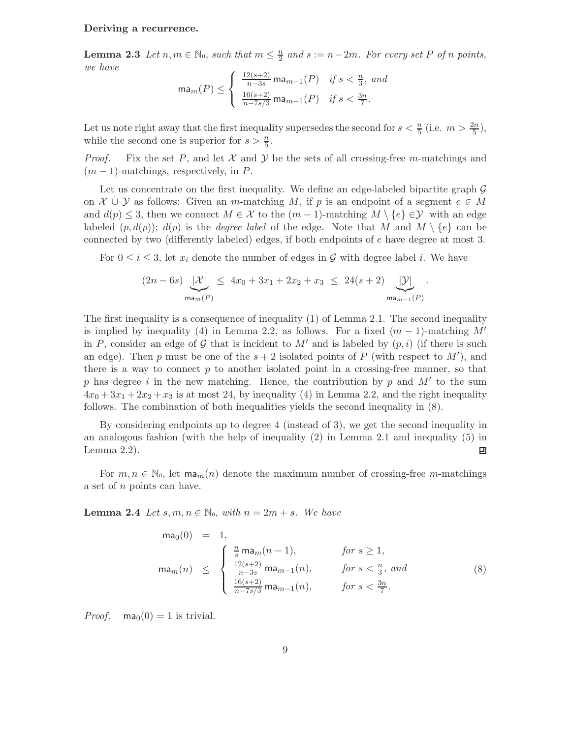#### Deriving a recurrence.

**Lemma 2.3** Let  $n, m \in \mathbb{N}_0$ , such that  $m \leq \frac{n}{2}$  and  $s := n-2m$ . For every set P of n points, we have

$$
\max(m(P) \le \begin{cases} \frac{12(s+2)}{n-3s} \max_{m-1}(P) & \text{if } s < \frac{n}{3}, \text{ and} \\ \frac{16(s+2)}{n-7s/3} \max_{m-1}(P) & \text{if } s < \frac{3n}{7}. \end{cases}
$$

Let us note right away that the first inequality supersedes the second for  $s < \frac{n}{5}$  (i.e.  $m > \frac{2n}{5}$ ), while the second one is superior for  $s > \frac{n}{5}$ .

*Proof.* Fix the set P, and let X and Y be the sets of all crossing-free m-matchings and  $(m-1)$ -matchings, respectively, in P.

Let us concentrate on the first inequality. We define an edge-labeled bipartite graph  $\mathcal G$ on  $X \cup Y$  as follows: Given an m-matching M, if p is an endpoint of a segment  $e \in M$ and  $d(p) \leq 3$ , then we connect  $M \in \mathcal{X}$  to the  $(m-1)$ -matching  $M \setminus \{e\} \in \mathcal{Y}$  with an edge labeled  $(p, d(p))$ ;  $d(p)$  is the *degree label* of the edge. Note that M and  $M \setminus \{e\}$  can be connected by two (differently labeled) edges, if both endpoints of e have degree at most 3.

For  $0 \leq i \leq 3$ , let  $x_i$  denote the number of edges in G with degree label i. We have

$$
(2n - 6s) \underbrace{| \mathcal{X} |}_{\text{man}(P)} \leq 4x_0 + 3x_1 + 2x_2 + x_3 \leq 24(s + 2) \underbrace{| \mathcal{Y} |}_{\text{man}_{n-1}(P)}
$$

.

The first inequality is a consequence of inequality (1) of Lemma 2.1. The second inequality is implied by inequality (4) in Lemma 2.2, as follows. For a fixed  $(m-1)$ -matching M' in P, consider an edge of G that is incident to M' and is labeled by  $(p, i)$  (if there is such an edge). Then p must be one of the  $s + 2$  isolated points of P (with respect to M'), and there is a way to connect  $p$  to another isolated point in a crossing-free manner, so that p has degree i in the new matching. Hence, the contribution by p and  $M'$  to the sum  $4x_0 + 3x_1 + 2x_2 + x_3$  is at most 24, by inequality (4) in Lemma 2.2, and the right inequality follows. The combination of both inequalities yields the second inequality in (8).

By considering endpoints up to degree 4 (instead of 3), we get the second inequality in an analogous fashion (with the help of inequality (2) in Lemma 2.1 and inequality (5) in Lemma 2.2). 回

For  $m, n \in \mathbb{N}_0$ , let  $\mathsf{m}a_m(n)$  denote the maximum number of crossing-free m-matchings a set of n points can have.

**Lemma 2.4** Let  $s, m, n \in \mathbb{N}_0$ , with  $n = 2m + s$ . We have

$$
\mathsf{ma}_{0}(0) = 1, \n\mathsf{ma}_{m}(n) \le \begin{cases}\n\frac{n}{s} \mathsf{ma}_{m}(n-1), & \text{for } s \ge 1, \\
\frac{12(s+2)}{n-3s} \mathsf{ma}_{m-1}(n), & \text{for } s < \frac{n}{3}, \text{ and} \\
\frac{16(s+2)}{n-7s/3} \mathsf{ma}_{m-1}(n), & \text{for } s < \frac{3n}{7}.\n\end{cases}
$$
\n(8)

*Proof.* ma<sub>0</sub> $(0) = 1$  is trivial.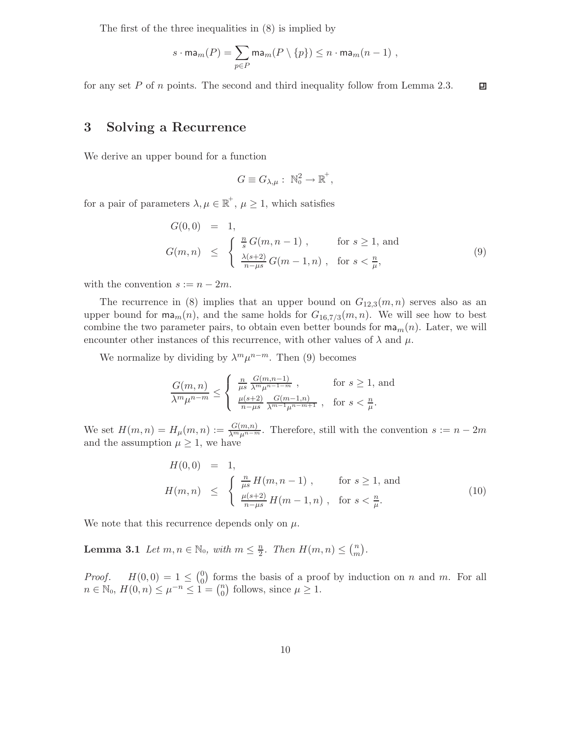The first of the three inequalities in (8) is implied by

$$
s \cdot \max(m(P) = \sum_{p \in P} \max(m(P \setminus \{p\}) \le n \cdot \max(m-1)),
$$

for any set P of n points. The second and third inequality follow from Lemma 2.3. 回

## 3 Solving a Recurrence

We derive an upper bound for a function

$$
G \equiv G_{\lambda,\mu} : \ \mathbb{N}_0^2 \to \mathbb{R}^+,
$$

for a pair of parameters  $\lambda, \mu \in \mathbb{R}^+$ ,  $\mu \geq 1$ , which satisfies

$$
G(0,0) = 1,
$$
  
\n
$$
G(m,n) \leq \begin{cases} \frac{n}{s} G(m,n-1) , & \text{for } s \geq 1, \text{ and} \\ \frac{\lambda(s+2)}{n-\mu s} G(m-1,n) , & \text{for } s < \frac{n}{\mu}, \end{cases}
$$
\n(9)

with the convention  $s := n - 2m$ .

The recurrence in (8) implies that an upper bound on  $G_{12,3}(m, n)$  serves also as an upper bound for  $\mathsf{ma}_m(n)$ , and the same holds for  $G_{16,7/3}(m,n)$ . We will see how to best combine the two parameter pairs, to obtain even better bounds for  $\mathsf{ma}_m(n)$ . Later, we will encounter other instances of this recurrence, with other values of  $\lambda$  and  $\mu$ .

We normalize by dividing by  $\lambda^m \mu^{n-m}$ . Then (9) becomes

$$
\frac{G(m,n)}{\lambda^m \mu^{n-m}} \le \begin{cases} \frac{n}{\mu s} \frac{G(m,n-1)}{\lambda^m \mu^{n-1-m}}, & \text{for } s \ge 1, \text{ and} \\ \frac{\mu(s+2)}{n-\mu s} \frac{G(m-1,n)}{\lambda^{m-1} \mu^{n-m+1}}, & \text{for } s < \frac{n}{\mu}. \end{cases}
$$

We set  $H(m,n) = H_{\mu}(m,n) := \frac{G(m,n)}{\lambda^m \mu^{n-m}}$ . Therefore, still with the convention  $s := n-2m$ and the assumption  $\mu \geq 1$ , we have

$$
H(0,0) = 1,\nH(m,n) \leq \begin{cases} \frac{n}{\mu s} H(m,n-1) , & \text{for } s \geq 1, \text{ and} \\ \frac{\mu(s+2)}{n-\mu s} H(m-1,n) , & \text{for } s < \frac{n}{\mu} . \end{cases}
$$
\n(10)

We note that this recurrence depends only on  $\mu$ .

**Lemma 3.1** Let  $m, n \in \mathbb{N}_0$ , with  $m \leq \frac{n}{2}$ . Then  $H(m, n) \leq {n \choose m}$ .

*Proof.*  $H(0,0) = 1 \leq {0 \choose 0}$  forms the basis of a proof by induction on n and m. For all  $n \in \mathbb{N}_0$ ,  $H(0, n) \leq \mu^{-n} \leq 1 = \binom{n}{0}$  follows, since  $\mu \geq 1$ .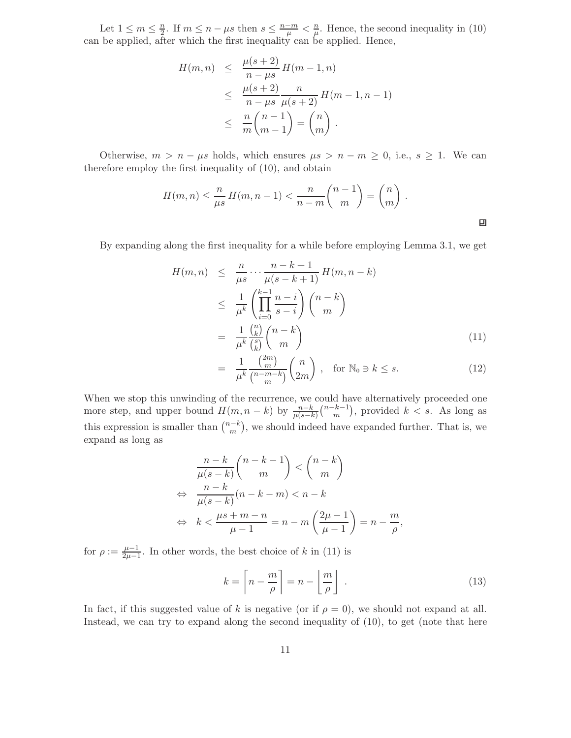Let  $1 \leq m \leq \frac{n}{2}$ . If  $m \leq n - \mu s$  then  $s \leq \frac{n-m}{\mu} < \frac{n}{\mu}$ . Hence, the second inequality in (10) can be applied, after which the first inequality can be applied. Hence,

$$
H(m, n) \leq \frac{\mu(s+2)}{n - \mu s} H(m-1, n)
$$
  
 
$$
\leq \frac{\mu(s+2)}{n - \mu s} \frac{n}{\mu(s+2)} H(m-1, n-1)
$$
  
 
$$
\leq \frac{n}{m} {n-1 \choose m-1} = {n \choose m}.
$$

Otherwise,  $m > n - \mu s$  holds, which ensures  $\mu s > n - m \geq 0$ , i.e.,  $s \geq 1$ . We can therefore employ the first inequality of (10), and obtain

$$
H(m, n) \le \frac{n}{\mu s} H(m, n - 1) < \frac{n}{n - m} \binom{n - 1}{m} = \binom{n}{m} \, .
$$

By expanding along the first inequality for a while before employing Lemma 3.1, we get

$$
H(m, n) \leq \frac{n}{\mu s} \cdots \frac{n-k+1}{\mu(s-k+1)} H(m, n-k)
$$
  
\n
$$
\leq \frac{1}{\mu^k} \left( \prod_{i=0}^{k-1} \frac{n-i}{s-i} \right) {n-k \choose m}
$$
  
\n
$$
= \frac{1}{\mu^k} \frac{{n \choose k}}{{n \choose k}} {n-k \choose m}
$$
 (11)

$$
= \frac{1}{\mu^k} \frac{\binom{2m}{m}}{\binom{n-m-k}{m}} \binom{n}{2m}, \quad \text{for } \mathbb{N}_0 \ni k \le s. \tag{12}
$$

When we stop this unwinding of the recurrence, we could have alternatively proceeded one more step, and upper bound  $H(m, n - k)$  by  $\frac{n-k}{\mu(s-k)}$  $\binom{n-k-1}{m}$ , provided  $k < s$ . As long as this expression is smaller than  $\binom{n-k}{m}$ , we should indeed have expanded further. That is, we expand as long as

$$
\frac{n-k}{\mu(s-k)} \binom{n-k-1}{m} < \binom{n-k}{m}
$$
\n
$$
\Leftrightarrow \frac{n-k}{\mu(s-k)} (n-k-m) < n-k
$$
\n
$$
\Leftrightarrow k < \frac{\mu s + m - n}{\mu - 1} = n - m \left( \frac{2\mu - 1}{\mu - 1} \right) = n - \frac{m}{\rho},
$$

for  $\rho := \frac{\mu - 1}{2\mu - 1}$ . In other words, the best choice of k in (11) is

$$
k = \left\lceil n - \frac{m}{\rho} \right\rceil = n - \left\lfloor \frac{m}{\rho} \right\rfloor \tag{13}
$$

In fact, if this suggested value of k is negative (or if  $\rho = 0$ ), we should not expand at all. Instead, we can try to expand along the second inequality of (10), to get (note that here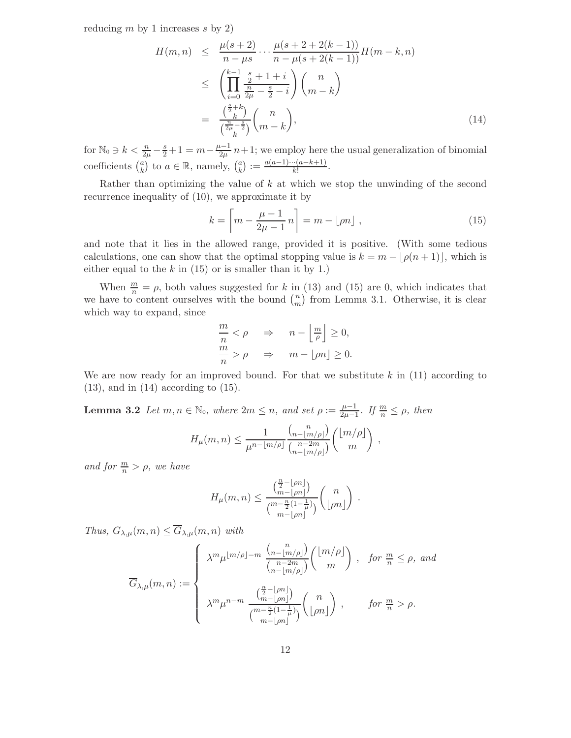reducing  $m$  by 1 increases  $s$  by 2)

$$
H(m,n) \leq \frac{\mu(s+2)}{n-\mu s} \cdots \frac{\mu(s+2+2(k-1))}{n-\mu(s+2(k-1))} H(m-k,n)
$$
  

$$
\leq \left(\prod_{i=0}^{k-1} \frac{\frac{s}{2}+1+i}{\frac{n}{2\mu}-\frac{s}{2}-i}\right) {n \choose m-k}
$$
  

$$
= \frac{\binom{\frac{s}{2}+k}{k}}{\binom{\frac{n}{2\mu}-\frac{s}{2}}{k}} {m-k}, \tag{14}
$$

for  $\mathbb{N}_0 \ni k < \frac{n}{2\mu} - \frac{s}{2} + 1 = m - \frac{\mu - 1}{2\mu} n + 1$ ; we employ here the usual generalization of binomial coefficients  $\binom{a}{k}$  to  $a \in \mathbb{R}$ , namely,  $\binom{a}{k} := \frac{a(a-1)\cdots(a-k+1)}{k!}$ .

Rather than optimizing the value of  $k$  at which we stop the unwinding of the second recurrence inequality of (10), we approximate it by

$$
k = \left\lceil m - \frac{\mu - 1}{2\mu - 1} n \right\rceil = m - \lfloor \rho n \rfloor , \qquad (15)
$$

and note that it lies in the allowed range, provided it is positive. (With some tedious calculations, one can show that the optimal stopping value is  $k = m - |\rho(n + 1)|$ , which is either equal to the  $k$  in (15) or is smaller than it by 1.)

When  $\frac{m}{n} = \rho$ , both values suggested for k in (13) and (15) are 0, which indicates that we have to content ourselves with the bound  $\binom{n}{m}$  from Lemma 3.1. Otherwise, it is clear which way to expand, since

$$
\frac{m}{n} < \rho \quad \Rightarrow \quad n - \left\lfloor \frac{m}{\rho} \right\rfloor \ge 0, \\
\frac{m}{n} > \rho \quad \Rightarrow \quad m - \left\lfloor \rho n \right\rfloor \ge 0.
$$

We are now ready for an improved bound. For that we substitute  $k$  in  $(11)$  according to  $(13)$ , and in  $(14)$  according to  $(15)$ .

**Lemma 3.2** Let  $m, n \in \mathbb{N}_0$ , where  $2m \leq n$ , and set  $\rho := \frac{\mu - 1}{2\mu - 1}$ . If  $\frac{m}{n} \leq \rho$ , then

$$
H_{\mu}(m,n) \leq \frac{1}{\mu^{n-\lfloor m/\rho \rfloor}} \frac{{\binom{n}{n-\lfloor m/\rho \rfloor}}}{{\binom{n-2m}{n-\lfloor m/\rho \rfloor}}} {\binom{\lfloor m/\rho \rfloor}{m}},
$$

and for  $\frac{m}{n} > \rho$ , we have

$$
H_{\mu}(m,n) \leq \frac{\binom{\frac{n}{2}-\lfloor \rho n\rfloor}{m-\lfloor \rho n\rfloor}}{\binom{m-\frac{n}{2}(1-\frac{1}{\mu})}{m-\lfloor \rho n\rfloor}}\binom{n}{\lfloor \rho n\rfloor}.
$$

Thus,  $G_{\lambda,\mu}(m,n) \leq \overline{G}_{\lambda,\mu}(m,n)$  with

$$
\overline{G}_{\lambda,\mu}(m,n) := \begin{cases}\n\lambda^m \mu^{\lfloor m/\rho \rfloor - m} \frac{\binom{n}{n - \lfloor m/\rho \rfloor}}{\binom{n - 2m}{n - \lfloor m/\rho \rfloor}} \binom{\lfloor m/\rho \rfloor}{m}, & \text{for } \frac{m}{n} \le \rho, \text{ and} \\
\lambda^m \mu^{n - m} \frac{\binom{\frac{n}{2} - \lfloor \rho n \rfloor}{m - \lfloor \rho n \rfloor}}{\binom{m - \frac{n}{2} (1 - \frac{1}{\mu})} \binom{n}{\lfloor \rho n \rfloor}, & \text{for } \frac{m}{n} > \rho.\n\end{cases}
$$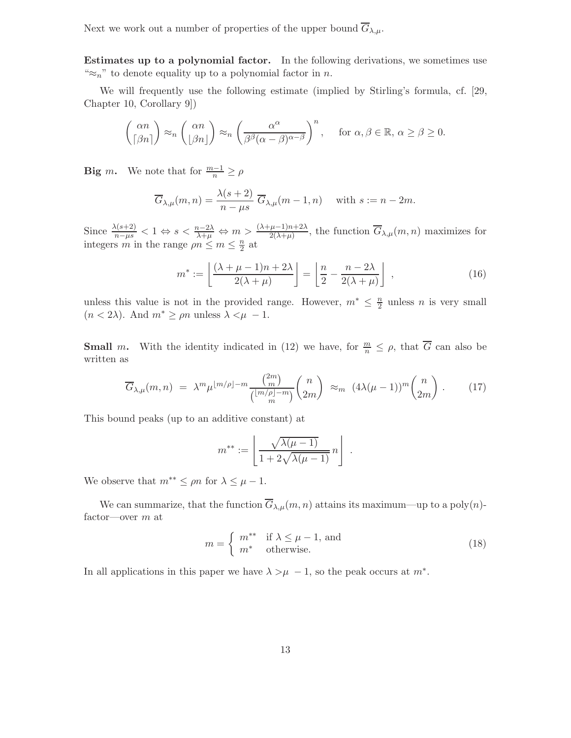Next we work out a number of properties of the upper bound  $\overline{G}_{\lambda,\mu}$ .

Estimates up to a polynomial factor. In the following derivations, we sometimes use " $\approx_n$ " to denote equality up to a polynomial factor in n.

We will frequently use the following estimate (implied by Stirling's formula, cf. [29, Chapter 10, Corollary 9])

$$
\binom{\alpha n}{\lceil \beta n \rceil} \approx_n \binom{\alpha n}{\lfloor \beta n \rfloor} \approx_n \left( \frac{\alpha^{\alpha}}{\beta^{\beta} (\alpha - \beta)^{\alpha - \beta}} \right)^n, \quad \text{for } \alpha, \beta \in \mathbb{R}, \alpha \ge \beta \ge 0.
$$

**Big** *m*. We note that for  $\frac{m-1}{n} \ge \rho$ 

$$
\overline{G}_{\lambda,\mu}(m,n) = \frac{\lambda(s+2)}{n-\mu s} \overline{G}_{\lambda,\mu}(m-1,n) \quad \text{with } s := n-2m.
$$

Since  $\frac{\lambda(s+2)}{n-\mu s} < 1 \Leftrightarrow s < \frac{n-2\lambda}{\lambda+\mu} \Leftrightarrow m > \frac{(\lambda+\mu-1)n+2\lambda}{2(\lambda+\mu)},$  the function  $\overline{G}_{\lambda,\mu}(m,n)$  maximizes for integers m in the range  $\rho n \leq m \leq \frac{n}{2}$  at

$$
m^* := \left\lfloor \frac{(\lambda + \mu - 1)n + 2\lambda}{2(\lambda + \mu)} \right\rfloor = \left\lfloor \frac{n}{2} - \frac{n - 2\lambda}{2(\lambda + \mu)} \right\rfloor ,\tag{16}
$$

unless this value is not in the provided range. However,  $m^* \leq \frac{n}{2}$  unless n is very small  $(n < 2\lambda)$ . And  $m^* \ge \rho n$  unless  $\lambda < \mu - 1$ .

**Small** m. With the identity indicated in (12) we have, for  $\frac{m}{n} \leq \rho$ , that  $\overline{G}$  can also be written as

$$
\overline{G}_{\lambda,\mu}(m,n) = \lambda^m \mu^{\lfloor m/\rho \rfloor - m} \frac{\binom{2m}{m}}{\binom{\lfloor m/\rho \rfloor - m}{m}} \binom{n}{2m} \approx_m (4\lambda(\mu - 1))^m \binom{n}{2m} . \tag{17}
$$

This bound peaks (up to an additive constant) at

$$
m^{**} := \left\lfloor \frac{\sqrt{\lambda(\mu - 1)}}{1 + 2\sqrt{\lambda(\mu - 1)}} n \right\rfloor \; .
$$

We observe that  $m^{**} \leq \rho n$  for  $\lambda \leq \mu - 1$ .

We can summarize, that the function  $\overline{G}_{\lambda,\mu}(m,n)$  attains its maximum—up to a poly $(n)$ factor—over m at

$$
m = \begin{cases} m^{**} & \text{if } \lambda \le \mu - 1 \text{, and} \\ m^* & \text{otherwise.} \end{cases}
$$
 (18)

In all applications in this paper we have  $\lambda > \mu - 1$ , so the peak occurs at  $m^*$ .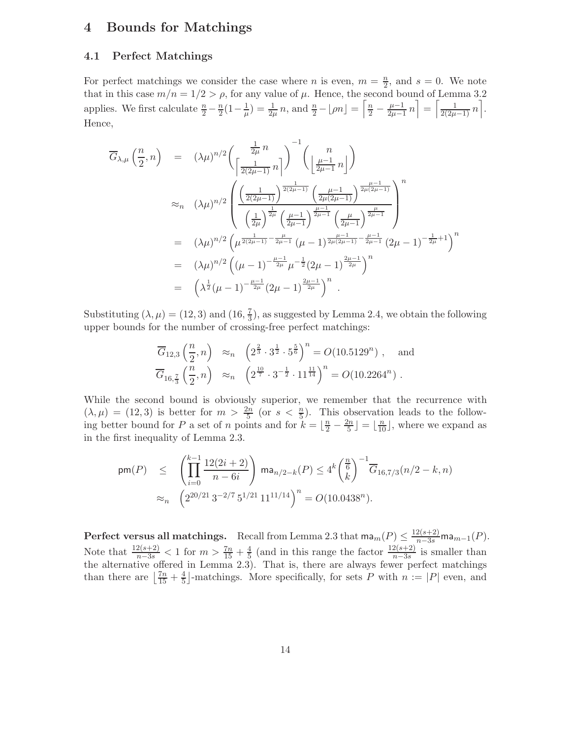## 4 Bounds for Matchings

#### 4.1 Perfect Matchings

For perfect matchings we consider the case where *n* is even,  $m = \frac{n}{2}$ , and  $s = 0$ . We note that in this case  $m/n = 1/2 > \rho$ , for any value of  $\mu$ . Hence, the second bound of Lemma 3.2 applies. We first calculate  $\frac{n}{2} - \frac{n}{2}(1 - \frac{1}{\mu}) = \frac{1}{2\mu}n$ , and  $\frac{n}{2} - \lfloor \rho n \rfloor = \left\lceil \frac{n}{2} - \frac{\mu - 1}{2\mu - 1}n \right\rceil = \left\lceil \frac{1}{2(2\mu - 1)}n \right\rceil$ . Hence,

$$
\overline{G}_{\lambda,\mu}\left(\frac{n}{2},n\right) = (\lambda\mu)^{n/2}\left(\frac{\frac{1}{2\mu}n}{\left[\frac{1}{2(2\mu-1)}n\right]}\right)^{-1}\left(\frac{n}{\left[\frac{\mu-1}{2\mu-1}n\right]}\right)
$$
\n
$$
\approx_{n} (\lambda\mu)^{n/2}\left(\frac{\left(\frac{1}{2(2\mu-1)}\right)^{\frac{1}{2(2\mu-1)}}\left(\frac{\mu-1}{2\mu(2\mu-1)}\right)^{\frac{\mu-1}{2\mu(2\mu-1)}}}{\left(\frac{1}{2\mu}\right)^{\frac{1}{2\mu}}\left(\frac{\mu-1}{2\mu-1}\right)^{\frac{\mu-1}{2\mu-1}}\left(\frac{\mu}{2\mu-1}\right)^{\frac{\mu-1}{2\mu-1}}}\right)^{n}
$$
\n
$$
= (\lambda\mu)^{n/2}\left(\mu^{\frac{1}{2(2\mu-1)}-\frac{\mu}{2\mu-1}}\left(\mu-1\right)^{\frac{\mu-1}{2\mu(2\mu-1)}-\frac{\mu-1}{2\mu-1}}(2\mu-1)^{-\frac{1}{2\mu}+1}\right)^{n}
$$
\n
$$
= (\lambda\mu)^{n/2}\left((\mu-1)^{-\frac{\mu-1}{2\mu}}\mu^{-\frac{1}{2}}(2\mu-1)^{\frac{2\mu-1}{2\mu}}\right)^{n}
$$
\n
$$
= \left(\lambda^{\frac{1}{2}}(\mu-1)^{-\frac{\mu-1}{2\mu}}(2\mu-1)^{\frac{2\mu-1}{2\mu}}\right)^{n}.
$$

Substituting  $(\lambda, \mu) = (12, 3)$  and  $(16, \frac{7}{3})$ , as suggested by Lemma 2.4, we obtain the following upper bounds for the number of crossing-free perfect matchings:

$$
\overline{G}_{12,3}\left(\frac{n}{2},n\right) \approx_n \left(2^{\frac{2}{3}} \cdot 3^{\frac{1}{2}} \cdot 5^{\frac{5}{6}}\right)^n = O(10.5129^n) , \text{ and}
$$
  

$$
\overline{G}_{16,\frac{7}{3}}\left(\frac{n}{2},n\right) \approx_n \left(2^{\frac{10}{7}} \cdot 3^{-\frac{1}{2}} \cdot 11^{\frac{11}{14}}\right)^n = O(10.2264^n) .
$$

While the second bound is obviously superior, we remember that the recurrence with  $(\lambda, \mu) = (12, 3)$  is better for  $m > \frac{2n}{5}$  (or  $s < \frac{n}{5}$ ). This observation leads to the following better bound for P a set of n points and for  $k = \lfloor \frac{n}{2} - \frac{2n}{5} \rfloor = \lfloor \frac{n}{10} \rfloor$ , where we expand as in the first inequality of Lemma 2.3.

$$
\begin{array}{lcl} \mathsf{pm}(P) & \leq & \left( \prod\limits_{i=0}^{k-1} \frac{12(2i+2)}{n-6i} \right) \, \mathsf{ma}_{n/2-k}(P) \leq 4^k \binom{\frac{n}{6}}{k}^{-1} \overline{G}_{16,7/3}(n/2-k,n) \\ & \approx_{n} & \left( 2^{20/21} \, 3^{-2/7} \, 5^{1/21} \, 11^{11/14} \right)^n = O(10.0438^n). \end{array}
$$

Perfect versus all matchings. Recall from Lemma 2.3 that  $\text{ma}_m(P) \leq \frac{12(s+2)}{n-3s} \text{ma}_{m-1}(P)$ . Note that  $\frac{12(s+2)}{n-3s} < 1$  for  $m > \frac{7n}{15} + \frac{4}{5}$  (and in this range the factor  $\frac{12(s+2)}{n-3s}$  is smaller than the alternative offered in Lemma  $2.\overrightarrow{3}$ . That is, there are always fewer perfect matchings than there are  $\left\lfloor \frac{7n}{15} + \frac{4}{5} \right\rfloor$ -matchings. More specifically, for sets P with  $n := |P|$  even, and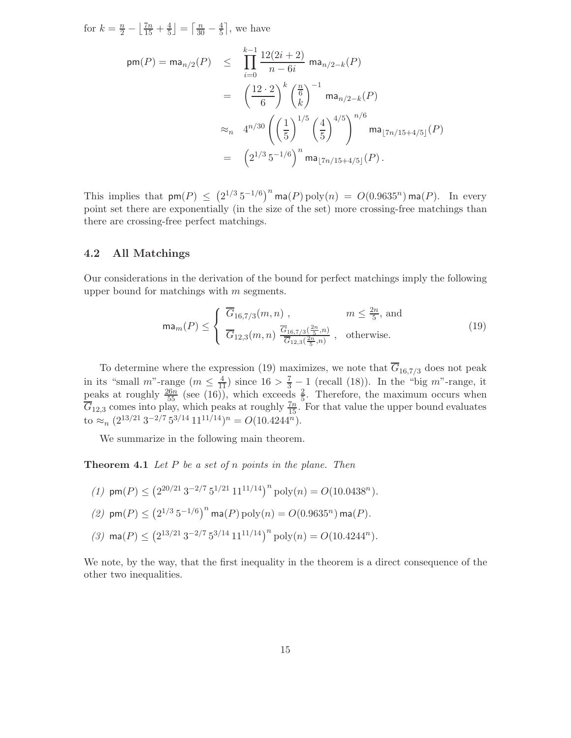for  $k = \frac{n}{2} - \left\lfloor \frac{7n}{15} + \frac{4}{5} \right\rfloor = \left\lceil \frac{n}{30} - \frac{4}{5} \right\rceil$ , we have

$$
pm(P) = ma_{n/2}(P) \leq \prod_{i=0}^{k-1} \frac{12(2i+2)}{n-6i} ma_{n/2-k}(P)
$$
  
=  $\left(\frac{12 \cdot 2}{6}\right)^k \left(\frac{n}{6}\right)^{-1} ma_{n/2-k}(P)$   

$$
\approx_n 4^{n/30} \left(\left(\frac{1}{5}\right)^{1/5} \left(\frac{4}{5}\right)^{4/5}\right)^{n/6} ma_{\lfloor 7n/15+4/5 \rfloor}(P)
$$
  
=  $\left(2^{1/3} 5^{-1/6}\right)^n ma_{\lfloor 7n/15+4/5 \rfloor}(P).$ 

This implies that  $\textsf{pm}(P) \leq (2^{1/3} 5^{-1/6})^n \textsf{ma}(P) \textsf{poly}(n) = O(0.9635^n) \textsf{ma}(P)$ . In every point set there are exponentially (in the size of the set) more crossing-free matchings than there are crossing-free perfect matchings.

#### 4.2 All Matchings

Our considerations in the derivation of the bound for perfect matchings imply the following upper bound for matchings with  $m$  segments.

$$
\mathsf{ma}_{m}(P) \leq \begin{cases} \overline{G}_{16,7/3}(m,n) , & m \leq \frac{2n}{5}, \text{ and} \\ \overline{G}_{12,3}(m,n) \frac{\overline{G}_{16,7/3}(\frac{2n}{5},n)}{\overline{G}_{12,3}(\frac{2n}{5},n)} , & \text{otherwise.} \end{cases}
$$
(19)

To determine where the expression (19) maximizes, we note that  $\overline{G}_{16,7/3}$  does not peak in its "small  $m$ "-range  $(m \leq \frac{4}{11})$  since  $16 > \frac{7}{3} - 1$  (recall (18)). In the "big  $m$ "-range, it peaks at roughly  $\frac{26n}{55}$  (see (16)), which exceeds  $\frac{2}{5}$ . Therefore, the maximum occurs when  $\overline{G}_{12,3}$  comes into play, which peaks at roughly  $\frac{7n}{15}$ . For that value the upper bound evaluates to  $\approx_n (2^{13/21} 3^{-2/7} 5^{3/14} 11^{11/14})^n = O(10.4244^n).$ 

We summarize in the following main theorem.

**Theorem 4.1** Let P be a set of n points in the plane. Then

- (1)  $\text{pm}(P) \leq (2^{20/21} 3^{-2/7} 5^{1/21} 11^{11/14})^n \text{poly}(n) = O(10.0438^n).$
- (2)  $\textsf{pm}(P)$  ≤  $\left(2^{1/3}\,5^{-1/6}\right)^n$  ma(P)  $\text{poly}(n) = O(0.9635^n)$  ma(P).
- (3)  $\textsf{ma}(P) \leq \left(2^{13/21} 3^{-2/7} 5^{3/14} 11^{11/14}\right)^n \textsf{poly}(n) = O(10.4244^n).$

We note, by the way, that the first inequality in the theorem is a direct consequence of the other two inequalities.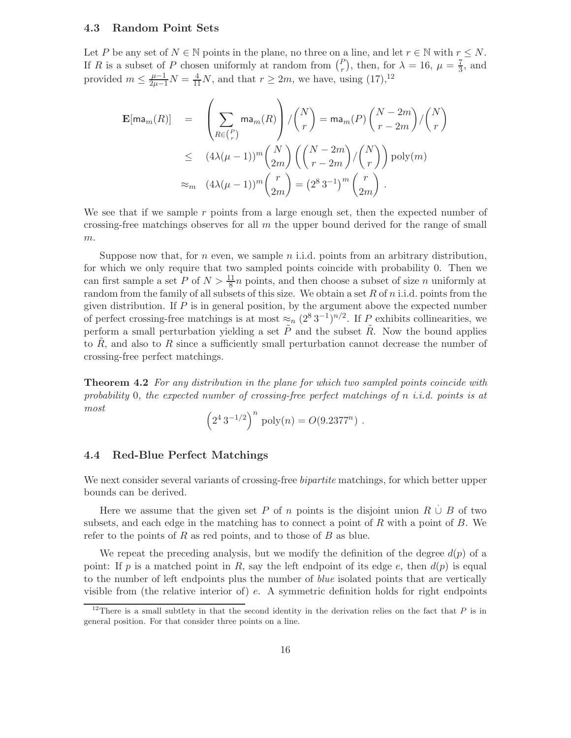#### 4.3 Random Point Sets

Let P be any set of  $N \in \mathbb{N}$  points in the plane, no three on a line, and let  $r \in \mathbb{N}$  with  $r \leq N$ . If R is a subset of P chosen uniformly at random from  $\binom{P}{r}$ , then, for  $\lambda = 16$ ,  $\mu = \frac{7}{3}$ , and provided  $m \leq \frac{\mu-1}{2\mu-1}N = \frac{4}{11}N$ , and that  $r \geq 2m$ , we have, using  $(17),^{12}$ 

$$
\mathbf{E}[\max_{m}(R)] = \left(\sum_{R \in {P \choose r}} \max_{m}(R)\right) / {N \choose r} = \max_{m}(P) {N - 2m \choose r - 2m} / {N \choose r}
$$
  
\n
$$
\leq (4\lambda(\mu - 1))^m {N \choose 2m} \left({N - 2m \choose r - 2m} / {N \choose r} \right) \text{poly}(m)
$$
  
\n
$$
\approx_m (4\lambda(\mu - 1))^m {r \choose 2m} = (2^8 \, 3^{-1})^m {r \choose 2m}.
$$

We see that if we sample r points from a large enough set, then the expected number of crossing-free matchings observes for all  $m$  the upper bound derived for the range of small  $m$ .

Suppose now that, for n even, we sample n i.i.d. points from an arbitrary distribution, for which we only require that two sampled points coincide with probability 0. Then we can first sample a set P of  $N > \frac{11}{8}n$  points, and then choose a subset of size n uniformly at random from the family of all subsets of this size. We obtain a set  $R$  of  $n$  i.i.d. points from the given distribution. If  $P$  is in general position, by the argument above the expected number of perfect crossing-free matchings is at most  $\approx_n (2^8 3^{-1})^{n/2}$ . If P exhibits collinearities, we perform a small perturbation yielding a set  $\tilde{P}$  and the subset  $\tilde{R}$ . Now the bound applies to  $R$ , and also to  $R$  since a sufficiently small perturbation cannot decrease the number of crossing-free perfect matchings.

**Theorem 4.2** For any distribution in the plane for which two sampled points coincide with probability 0, the expected number of crossing-free perfect matchings of n i.i.d. points is at most

$$
\left(2^4 3^{-1/2}\right)^n \text{poly}(n) = O(9.2377^n) .
$$

#### 4.4 Red-Blue Perfect Matchings

We next consider several variants of crossing-free *bipartite* matchings, for which better upper bounds can be derived.

Here we assume that the given set P of n points is the disjoint union  $R \cup B$  of two subsets, and each edge in the matching has to connect a point of  $R$  with a point of  $B$ . We refer to the points of R as red points, and to those of B as blue.

We repeat the preceding analysis, but we modify the definition of the degree  $d(p)$  of a point: If p is a matched point in R, say the left endpoint of its edge e, then  $d(p)$  is equal to the number of left endpoints plus the number of blue isolated points that are vertically visible from (the relative interior of) e. A symmetric definition holds for right endpoints

<sup>&</sup>lt;sup>12</sup>There is a small subtlety in that the second identity in the derivation relies on the fact that  $P$  is in general position. For that consider three points on a line.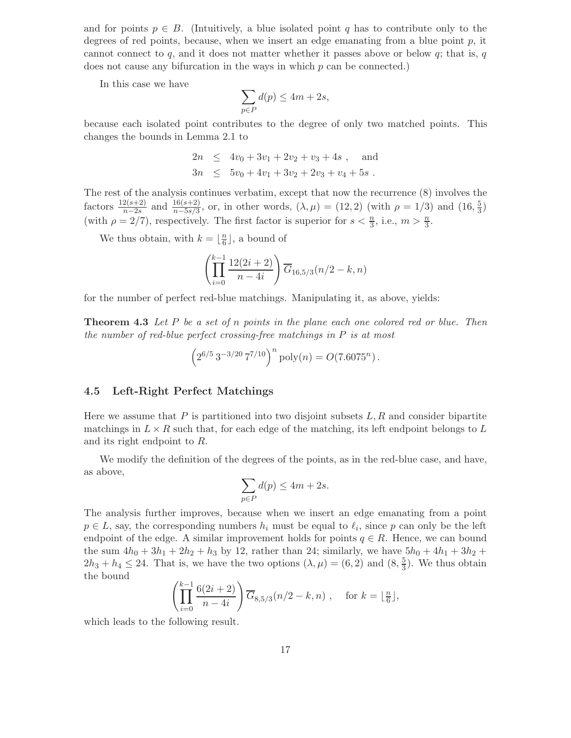and for points  $p \in B$ . (Intuitively, a blue isolated point q has to contribute only to the degrees of red points, because, when we insert an edge emanating from a blue point  $p$ , it cannot connect to q, and it does not matter whether it passes above or below  $q$ ; that is, q does not cause any bifurcation in the ways in which  $p$  can be connected.)

In this case we have

$$
\sum_{p \in P} d(p) \le 4m + 2s,
$$

because each isolated point contributes to the degree of only two matched points. This changes the bounds in Lemma 2.1 to

$$
2n \le 4v_0 + 3v_1 + 2v_2 + v_3 + 4s , \text{ and}
$$
  

$$
3n \le 5v_0 + 4v_1 + 3v_2 + 2v_3 + v_4 + 5s .
$$

The rest of the analysis continues verbatim, except that now the recurrence (8) involves the factors  $\frac{12(s+2)}{n-2s}$  and  $\frac{16(s+2)}{n-5s/3}$ , or, in other words,  $(\lambda, \mu) = (12, 2)$  (with  $\rho = 1/3$ ) and  $(16, \frac{5}{3})$ (with  $\rho = 2/7$ ), respectively. The first factor is superior for  $s < \frac{n}{3}$ , i.e.,  $m > \frac{n}{3}$ .

We thus obtain, with  $k = \lfloor \frac{n}{6} \rfloor$ , a bound of

$$
\left(\prod_{i=0}^{k-1} \frac{12(2i+2)}{n-4i}\right) \overline{G}_{16,5/3}(n/2-k,n)
$$

for the number of perfect red-blue matchings. Manipulating it, as above, yields:

**Theorem 4.3** Let P be a set of n points in the plane each one colored red or blue. Then the number of red-blue perfect crossing-free matchings in P is at most

$$
\left(2^{6/5}3^{-3/20}7^{7/10}\right)^n \text{poly}(n) = O(7.6075^n).
$$

#### 4.5 Left-Right Perfect Matchings

Here we assume that  $P$  is partitioned into two disjoint subsets  $L, R$  and consider bipartite matchings in  $L \times R$  such that, for each edge of the matching, its left endpoint belongs to L and its right endpoint to R.

We modify the definition of the degrees of the points, as in the red-blue case, and have, as above,

$$
\sum_{p \in P} d(p) \le 4m + 2s.
$$

The analysis further improves, because when we insert an edge emanating from a point  $p \in L$ , say, the corresponding numbers  $h_i$  must be equal to  $\ell_i$ , since p can only be the left endpoint of the edge. A similar improvement holds for points  $q \in R$ . Hence, we can bound the sum  $4h_0 + 3h_1 + 2h_2 + h_3$  by 12, rather than 24; similarly, we have  $5h_0 + 4h_1 + 3h_2 +$  $2h_3 + h_4 \leq 24$ . That is, we have the two options  $(\lambda, \mu) = (6, 2)$  and  $(8, \frac{5}{3})$ . We thus obtain the bound

$$
\left(\prod_{i=0}^{k-1} \frac{6(2i+2)}{n-4i}\right) \overline{G}_{8,5/3}(n/2-k,n) , \text{ for } k = \lfloor \frac{n}{6} \rfloor,
$$

which leads to the following result.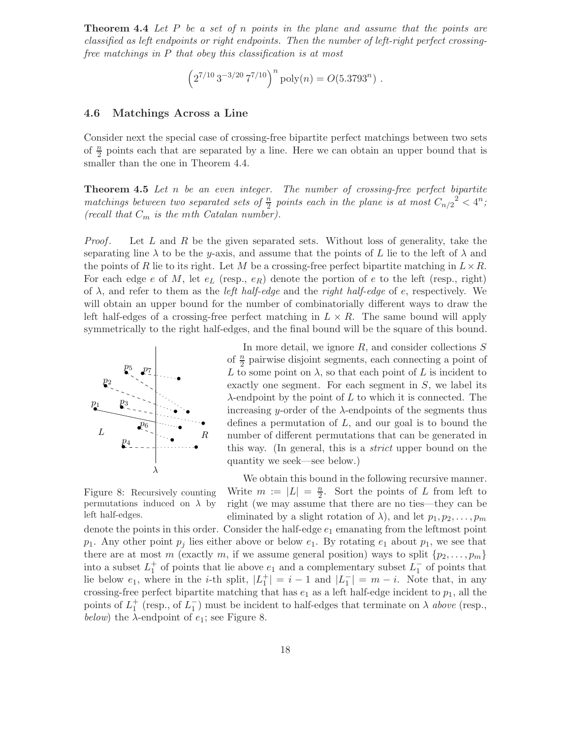**Theorem 4.4** Let P be a set of n points in the plane and assume that the points are classified as left endpoints or right endpoints. Then the number of left-right perfect crossingfree matchings in P that obey this classification is at most

$$
\left(2^{7/10} \, 3^{-3/20} \, 7^{7/10}\right)^n \text{poly}(n) = O(5.3793^n) \ .
$$

#### 4.6 Matchings Across a Line

Consider next the special case of crossing-free bipartite perfect matchings between two sets of  $\frac{n}{2}$  points each that are separated by a line. Here we can obtain an upper bound that is smaller than the one in Theorem 4.4.

**Theorem 4.5** Let n be an even integer. The number of crossing-free perfect bipartite matchings between two separated sets of  $\frac{n}{2}$  points each in the plane is at most  $C_{n/2}^2 < 4^n$ ; (recall that  $C_m$  is the mth Catalan number).

*Proof.* Let L and R be the given separated sets. Without loss of generality, take the separating line  $\lambda$  to be the y-axis, and assume that the points of L lie to the left of  $\lambda$  and the points of R lie to its right. Let M be a crossing-free perfect bipartite matching in  $L \times R$ . For each edge e of M, let  $e_L$  (resp.,  $e_R$ ) denote the portion of e to the left (resp., right) of  $\lambda$ , and refer to them as the *left half-edge* and the *right half-edge* of e, respectively. We will obtain an upper bound for the number of combinatorially different ways to draw the left half-edges of a crossing-free perfect matching in  $L \times R$ . The same bound will apply symmetrically to the right half-edges, and the final bound will be the square of this bound.



In more detail, we ignore  $R$ , and consider collections  $S$ of  $\frac{n}{2}$  pairwise disjoint segments, each connecting a point of L to some point on  $\lambda$ , so that each point of L is incident to exactly one segment. For each segment in S, we label its  $\lambda$ -endpoint by the point of L to which it is connected. The increasing y-order of the  $\lambda$ -endpoints of the segments thus defines a permutation of  $L$ , and our goal is to bound the number of different permutations that can be generated in this way. (In general, this is a strict upper bound on the quantity we seek—see below.)

Figure 8: Recursively counting permutations induced on  $\lambda$  by left half-edges.

We obtain this bound in the following recursive manner. Write  $m := |L| = \frac{n}{2}$ . Sort the points of L from left to right (we may assume that there are no ties—they can be eliminated by a slight rotation of  $\lambda$ ), and let  $p_1, p_2, \ldots, p_m$ 

denote the points in this order. Consider the half-edge  $e_1$  emanating from the leftmost point  $p_1$ . Any other point  $p_j$  lies either above or below  $e_1$ . By rotating  $e_1$  about  $p_1$ , we see that there are at most m (exactly m, if we assume general position) ways to split  $\{p_2, \ldots, p_m\}$ into a subset  $L_1^+$  of points that lie above  $e_1$  and a complementary subset  $L_1^-$  of points that lie below  $e_1$ , where in the *i*-th split,  $|L_1^+| = i - 1$  and  $|L_1^-| = m - i$ . Note that, in any crossing-free perfect bipartite matching that has  $e_1$  as a left half-edge incident to  $p_1$ , all the points of  $L_1^+$  (resp., of  $L_1^-$ ) must be incident to half-edges that terminate on  $\lambda$  above (resp., below) the  $\lambda$ -endpoint of  $e_1$ ; see Figure 8.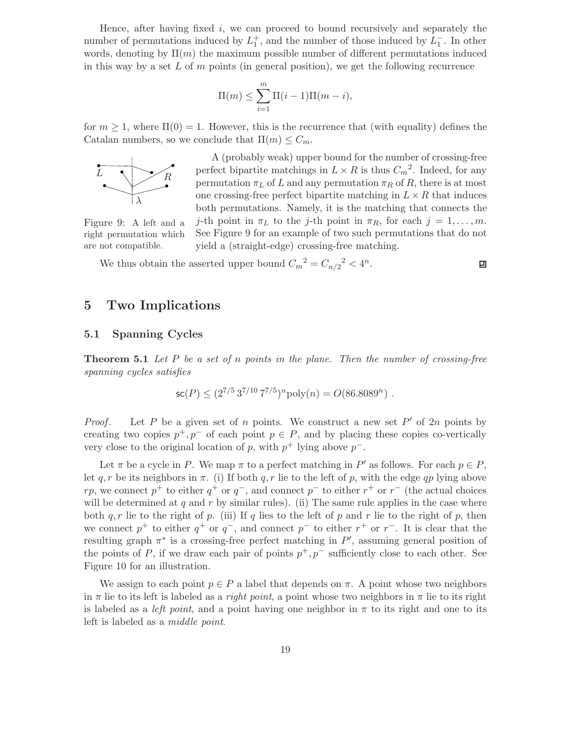Hence, after having fixed  $i$ , we can proceed to bound recursively and separately the number of permutations induced by  $L_1^+$ , and the number of those induced by  $L_1^-$ . In other words, denoting by  $\Pi(m)$  the maximum possible number of different permutations induced in this way by a set L of  $m$  points (in general position), we get the following recurrence

$$
\Pi(m) \le \sum_{i=1}^{m} \Pi(i-1)\Pi(m-i),
$$

for  $m \geq 1$ , where  $\Pi(0) = 1$ . However, this is the recurrence that (with equality) defines the Catalan numbers, so we conclude that  $\Pi(m) \leq C_m$ .



A (probably weak) upper bound for the number of crossing-free perfect bipartite matchings in  $L \times R$  is thus  $C_m^2$ . Indeed, for any permutation  $\pi_L$  of L and any permutation  $\pi_R$  of R, there is at most one crossing-free perfect bipartite matching in  $L \times R$  that induces both permutations. Namely, it is the matching that connects the

Figure 9: A left and a right permutation which are not compatible.

j-th point in  $\pi_L$  to the j-th point in  $\pi_R$ , for each  $j = 1, \ldots, m$ . See Figure 9 for an example of two such permutations that do not yield a (straight-edge) crossing-free matching.

We thus obtain the asserted upper bound  $C_m^2 = C_{n/2}^2 < 4^n$ .

## 口

## 5 Two Implications

#### 5.1 Spanning Cycles

**Theorem 5.1** Let P be a set of n points in the plane. Then the number of crossing-free spanning cycles satisfies

$$
\mathsf{sc}(P) \leq (2^{7/5} 3^{7/10} 7^{7/5})^n \text{poly}(n) = O(86.8089^n) .
$$

*Proof.* Let P be a given set of n points. We construct a new set P' of 2n points by creating two copies  $p^+, p^-$  of each point  $p \in P$ , and by placing these copies co-vertically very close to the original location of p, with  $p^+$  lying above  $p^-$ .

Let  $\pi$  be a cycle in P. We map  $\pi$  to a perfect matching in P' as follows. For each  $p \in P$ , let q, r be its neighbors in  $\pi$ . (i) If both q, r lie to the left of p, with the edge qp lying above rp, we connect  $p^+$  to either  $q^+$  or  $q^-$ , and connect  $p^-$  to either  $r^+$  or  $r^-$  (the actual choices will be determined at  $q$  and  $r$  by similar rules). (ii) The same rule applies in the case where both  $q, r$  lie to the right of p. (iii) If q lies to the left of p and r lie to the right of p, then we connect  $p^+$  to either  $q^+$  or  $q^-$ , and connect  $p^-$  to either  $r^+$  or  $r^-$ . It is clear that the resulting graph  $\pi^*$  is a crossing-free perfect matching in  $P'$ , assuming general position of the points of P, if we draw each pair of points  $p^+, p^-$  sufficiently close to each other. See Figure 10 for an illustration.

We assign to each point  $p \in P$  a label that depends on  $\pi$ . A point whose two neighbors in  $\pi$  lie to its left is labeled as a *right point*, a point whose two neighbors in  $\pi$  lie to its right is labeled as a *left point*, and a point having one neighbor in  $\pi$  to its right and one to its left is labeled as a middle point.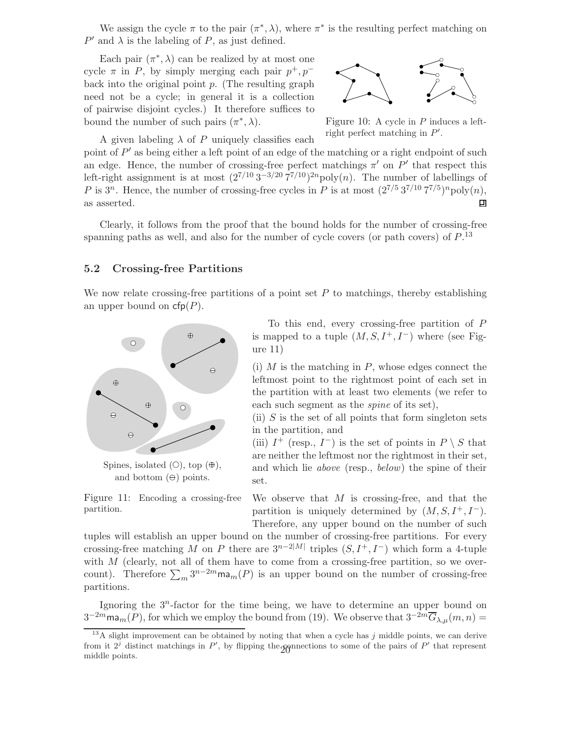We assign the cycle  $\pi$  to the pair  $(\pi^*, \lambda)$ , where  $\pi^*$  is the resulting perfect matching on  $P'$  and  $\lambda$  is the labeling of P, as just defined.

Each pair  $(\pi^*, \lambda)$  can be realized by at most one cycle  $\pi$  in P, by simply merging each pair  $p^+, p^$ back into the original point  $p$ . (The resulting graph need not be a cycle; in general it is a collection of pairwise disjoint cycles.) It therefore suffices to bound the number of such pairs  $(\pi^*, \lambda)$ .



Figure 10: A cycle in P induces a leftright perfect matching in  $P'$ .

A given labeling  $\lambda$  of P uniquely classifies each

point of  $P'$  as being either a left point of an edge of the matching or a right endpoint of such an edge. Hence, the number of crossing-free perfect matchings  $\pi'$  on P' that respect this left-right assignment is at most  $(2^{7/10} \frac{3^{-3}}{20} \frac{7^{7}}{10})^{2n}$ poly $(n)$ . The number of labellings of P is  $3^n$ . Hence, the number of crossing-free cycles in P is at most  $(2^{7/5}3^{7/10}7^{7/5})^n$ poly $(n)$ , as asserted.  $\blacksquare$ 

Clearly, it follows from the proof that the bound holds for the number of crossing-free spanning paths as well, and also for the number of cycle covers (or path covers) of  $P^{13}$ .

#### 5.2 Crossing-free Partitions

We now relate crossing-free partitions of a point set  $P$  to matchings, thereby establishing an upper bound on  $cfp(P)$ .



Spines, isolated  $(O)$ , top  $(\oplus)$ , and bottom  $(\Theta)$  points.

Figure 11: Encoding a crossing-free partition.

To this end, every crossing-free partition of P is mapped to a tuple  $(M, S, I^+, I^-)$  where (see Figure 11)

(i)  $M$  is the matching in  $P$ , whose edges connect the leftmost point to the rightmost point of each set in the partition with at least two elements (we refer to each such segment as the spine of its set),

(ii)  $S$  is the set of all points that form singleton sets in the partition, and

(iii)  $I^+$  (resp.,  $I^-$ ) is the set of points in  $P \setminus S$  that are neither the leftmost nor the rightmost in their set, and which lie above (resp., below) the spine of their set.

We observe that  $M$  is crossing-free, and that the partition is uniquely determined by  $(M, S, I^+, I^-)$ . Therefore, any upper bound on the number of such

tuples will establish an upper bound on the number of crossing-free partitions. For every crossing-free matching M on P there are  $3^{n-2|M|}$  triples  $(S, I^+, I^-)$  which form a 4-tuple with  $M$  (clearly, not all of them have to come from a crossing-free partition, so we overcount). Therefore  $\sum_m 3^{n-2m} \text{ma}_m(P)$  is an upper bound on the number of crossing-free partitions.

Ignoring the  $3<sup>n</sup>$ -factor for the time being, we have to determine an upper bound on  $3^{-2m}$ ma<sub>m</sub> $(P)$ , for which we employ the bound from (19). We observe that  $3^{-2m}\overline{G}_{\lambda,\mu}(m,n)$  =

 $13A$  slight improvement can be obtained by noting that when a cycle has j middle points, we can derive from it  $2^j$  distinct matchings in  $P'$ , by flipping the connections to some of the pairs of  $P'$  that represent middle points.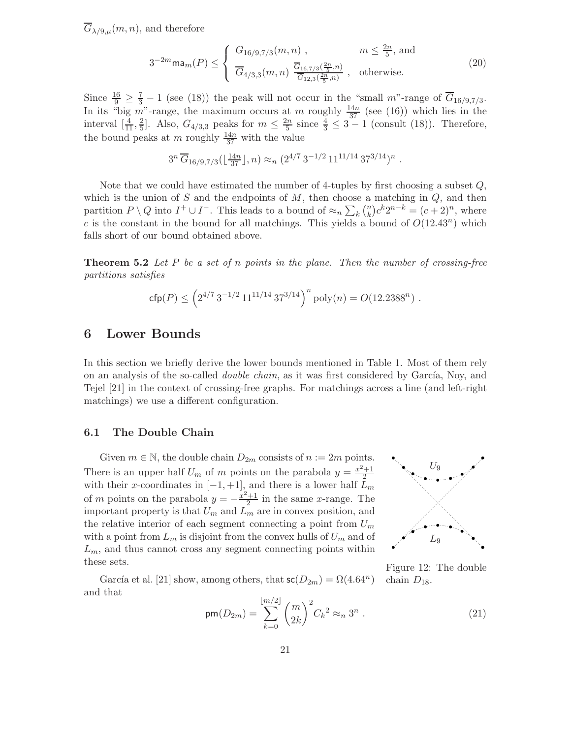$\overline{G}_{\lambda/9,\mu}(m,n)$ , and therefore

$$
3^{-2m} \text{ma}_m(P) \leq \begin{cases} \overline{G}_{16/9,7/3}(m,n) , & m \leq \frac{2n}{5}, \text{ and} \\ \overline{G}_{4/3,3}(m,n) \frac{\overline{G}_{16,7/3}(\frac{2n}{5},n)}{\overline{G}_{12,3}(\frac{2n}{5},n)} , & \text{otherwise.} \end{cases}
$$
(20)

Since  $\frac{16}{9} \geq \frac{7}{3} - 1$  (see (18)) the peak will not occur in the "small m"-range of  $\overline{G}_{16/9,7/3}$ . In its "big m"-range, the maximum occurs at m roughly  $\frac{14n}{37}$  (see (16)) which lies in the interval  $\left[\frac{4}{11}, \frac{2}{5}\right]$ . Also,  $G_{4/3,3}$  peaks for  $m \leq \frac{2n}{5}$  since  $\frac{4}{3} \leq 3 - 1$  (consult (18)). Therefore, the bound peaks at m roughly  $\frac{14n}{37}$  with the value

$$
3^{n} \overline{G}_{16/9,7/3}(\lfloor \frac{14n}{37} \rfloor, n) \approx_{n} (2^{4/7} 3^{-1/2} 11^{11/14} 37^{3/14})^{n}.
$$

Note that we could have estimated the number of 4-tuples by first choosing a subset  $Q$ , which is the union of S and the endpoints of  $M$ , then choose a matching in  $Q$ , and then partition  $P \setminus Q$  into  $I^+ \cup I^-$ . This leads to a bound of  $\approx_n \sum_k {n \choose k} c^k 2^{n-k} = (c+2)^n$ , where c is the constant in the bound for all matchings. This yields a bound of  $O(12.43^n)$  which falls short of our bound obtained above.

**Theorem 5.2** Let P be a set of n points in the plane. Then the number of crossing-free partitions satisfies

$$
\text{cfp}(P) \le \left(2^{4/7} 3^{-1/2} 11^{11/14} 37^{3/14}\right)^n \text{poly}(n) = O(12.2388^n) .
$$

### 6 Lower Bounds

In this section we briefly derive the lower bounds mentioned in Table 1. Most of them rely on an analysis of the so-called *double chain*, as it was first considered by García, Noy, and Tejel [21] in the context of crossing-free graphs. For matchings across a line (and left-right matchings) we use a different configuration.

#### 6.1 The Double Chain

Given  $m \in \mathbb{N}$ , the double chain  $D_{2m}$  consists of  $n := 2m$  points. There is an upper half  $U_m$  of m points on the parabola  $y = \frac{x^2+1}{2}$ with their x-coordinates in  $[-1, +1]$ , and there is a lower half  $\tilde{L}_m$ of m points on the parabola  $y = -\frac{x^2+1}{2}$  in the same x-range. The important property is that  $U_m$  and  $L_m$  are in convex position, and the relative interior of each segment connecting a point from  $U_m$ with a point from  $L_m$  is disjoint from the convex hulls of  $U_m$  and of  $L_m$ , and thus cannot cross any segment connecting points within these sets.



Figure 12: The double

chain  $D_{18}$ .

García et al. [21] show, among others, that  $\mathsf{sc}(D_{2m}) = \Omega(4.64^n)$ and that

$$
\mathsf{pm}(D_{2m}) = \sum_{k=0}^{\lfloor m/2 \rfloor} \binom{m}{2k}^2 C_k^2 \approx_n 3^n . \tag{21}
$$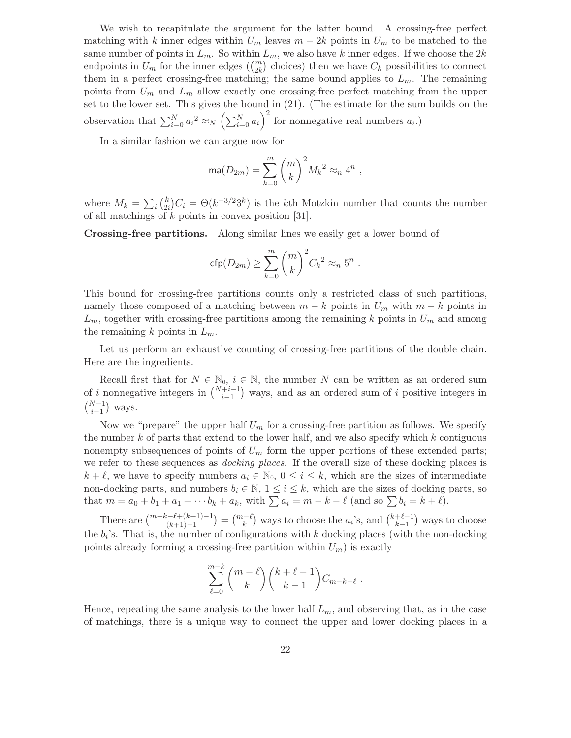We wish to recapitulate the argument for the latter bound. A crossing-free perfect matching with k inner edges within  $U_m$  leaves  $m-2k$  points in  $U_m$  to be matched to the same number of points in  $L_m$ . So within  $L_m$ , we also have k inner edges. If we choose the  $2k$ endpoints in  $U_m$  for the inner edges  $\binom{m}{2k}$  choices) then we have  $C_k$  possibilities to connect them in a perfect crossing-free matching; the same bound applies to  $L_m$ . The remaining points from  $U_m$  and  $L_m$  allow exactly one crossing-free perfect matching from the upper set to the lower set. This gives the bound in (21). (The estimate for the sum builds on the observation that  $\sum_{i=0}^{N} a_i^2 \approx_N \left(\sum_{i=0}^{N} a_i\right)^2$  for nonnegative real numbers  $a_i$ .)

In a similar fashion we can argue now for

$$
\operatorname{ma}(D_{2m}) = \sum_{k=0}^m \binom{m}{k}^2 M_k^2 \approx_n 4^n,
$$

where  $M_k = \sum_i \binom{k}{2i} C_i = \Theta(k^{-3/2}3^k)$  is the kth Motzkin number that counts the number of all matchings of  $k$  points in convex position [31].

Crossing-free partitions. Along similar lines we easily get a lower bound of

$$
\mathsf{cfp}(D_{2m}) \ge \sum_{k=0}^m \binom{m}{k}^2 C_k^2 \approx_n 5^n.
$$

This bound for crossing-free partitions counts only a restricted class of such partitions, namely those composed of a matching between  $m - k$  points in  $U_m$  with  $m - k$  points in  $L_m$ , together with crossing-free partitions among the remaining k points in  $U_m$  and among the remaining k points in  $L_m$ .

Let us perform an exhaustive counting of crossing-free partitions of the double chain. Here are the ingredients.

Recall first that for  $N \in \mathbb{N}_0$ ,  $i \in \mathbb{N}$ , the number N can be written as an ordered sum of i nonnegative integers in  $\binom{N+i-1}{i-1}$  ways, and as an ordered sum of i positive integers in  $\binom{N-1}{1}$  $i-1$ ) ways.

Now we "prepare" the upper half  $U_m$  for a crossing-free partition as follows. We specify the number  $k$  of parts that extend to the lower half, and we also specify which  $k$  contiguous nonempty subsequences of points of  $U_m$  form the upper portions of these extended parts; we refer to these sequences as *docking places*. If the overall size of these docking places is  $k + \ell$ , we have to specify numbers  $a_i \in \mathbb{N}_0$ ,  $0 \le i \le k$ , which are the sizes of intermediate non-docking parts, and numbers  $b_i \in \mathbb{N}$ ,  $1 \le i \le k$ , which are the sizes of docking parts, so that  $m = a_0 + b_1 + a_1 + \cdots + b_k + a_k$ , with  $\sum a_i = m - k - \ell$  (and so  $\sum b_i = k + \ell$ ).

There are  $\binom{m-k-\ell+(k+1)-1}{(k+1)-1}$  $=\binom{m-\ell}{k}$  ways to choose the  $a_i$ 's, and  $\binom{k+\ell-1}{k-1}$ ) ways to choose the  $b_i$ 's. That is, the number of configurations with k docking places (with the non-docking points already forming a crossing-free partition within  $U_m$ ) is exactly

$$
\sum_{\ell=0}^{m-k} \binom{m-\ell}{k} \binom{k+\ell-1}{k-1} C_{m-k-\ell} .
$$

Hence, repeating the same analysis to the lower half  $L_m$ , and observing that, as in the case of matchings, there is a unique way to connect the upper and lower docking places in a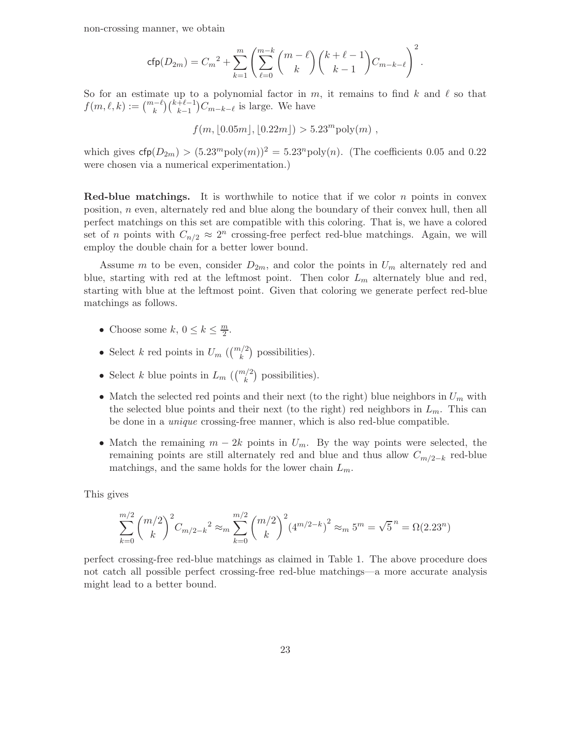non-crossing manner, we obtain

$$
\text{cfp}(D_{2m}) = C_m^2 + \sum_{k=1}^m \left( \sum_{\ell=0}^{m-k} {m-\ell \choose k} {k+\ell-1 \choose k-1} C_{m-k-\ell} \right)^2.
$$

So for an estimate up to a polynomial factor in  $m$ , it remains to find k and  $\ell$  so that  $f(m, \ell, k) := {m-\ell \choose k} {k+\ell-1 \choose k-1}$  $k-1$  $\big)C_{m-k-\ell}$  is large. We have

 $f(m, |0.05m|, |0.22m|) > 5.23<sup>m</sup> \text{poly}(m)$ ,

which gives  $\mathsf{cfp}(D_{2m}) > (5.23^m \text{poly}(m))^2 = 5.23^n \text{poly}(n)$ . (The coefficients 0.05 and 0.22) were chosen via a numerical experimentation.)

**Red-blue matchings.** It is worthwhile to notice that if we color n points in convex position, n even, alternately red and blue along the boundary of their convex hull, then all perfect matchings on this set are compatible with this coloring. That is, we have a colored set of *n* points with  $C_{n/2} \approx 2^n$  crossing-free perfect red-blue matchings. Again, we will employ the double chain for a better lower bound.

Assume m to be even, consider  $D_{2m}$ , and color the points in  $U_m$  alternately red and blue, starting with red at the leftmost point. Then color  $L_m$  alternately blue and red, starting with blue at the leftmost point. Given that coloring we generate perfect red-blue matchings as follows.

- Choose some  $k, 0 \leq k \leq \frac{m}{2}$ .
- Select k red points in  $U_m$  ( $\binom{m/2}{k}$  possibilities).
- Select k blue points in  $L_m$  ( $\binom{m/2}{k}$  possibilities).
- Match the selected red points and their next (to the right) blue neighbors in  $U_m$  with the selected blue points and their next (to the right) red neighbors in  $L_m$ . This can be done in a unique crossing-free manner, which is also red-blue compatible.
- Match the remaining  $m 2k$  points in  $U_m$ . By the way points were selected, the remaining points are still alternately red and blue and thus allow  $C_{m/2-k}$  red-blue matchings, and the same holds for the lower chain  $L_m$ .

This gives

$$
\sum_{k=0}^{m/2} {m/2 \choose k}^2 C_{m/2-k}^2 \approx_m \sum_{k=0}^{m/2} {m/2 \choose k}^2 (4^{m/2-k})^2 \approx_m 5^m = \sqrt{5}^n = \Omega(2.23^n)
$$

perfect crossing-free red-blue matchings as claimed in Table 1. The above procedure does not catch all possible perfect crossing-free red-blue matchings—a more accurate analysis might lead to a better bound.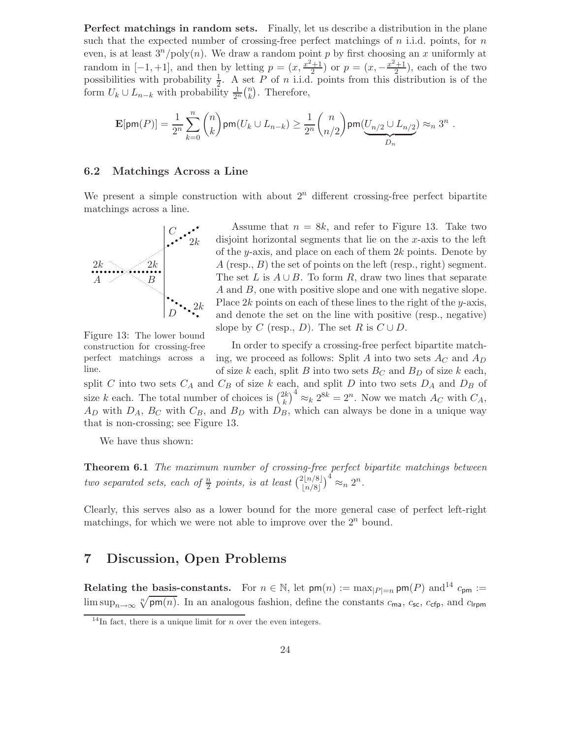Perfect matchings in random sets. Finally, let us describe a distribution in the plane such that the expected number of crossing-free perfect matchings of  $n$  i.i.d. points, for  $n$ even, is at least  $3^n / \text{poly}(n)$ . We draw a random point p by first choosing an x uniformly at random in  $[-1, +1]$ , and then by letting  $p = (x, \frac{x^2+1}{2})$  or  $p = (x, -\frac{x^2+1}{2})$ , each of the two possibilities with probability  $\frac{1}{2}$ . A set P of n i.i.d. points from this distribution is of the form  $U_k \cup L_{n-k}$  with probability  $\frac{1}{2^n} {n \choose k}$ . Therefore,

$$
\mathbf{E}[\mathsf{pm}(P)] = \frac{1}{2^n} \sum_{k=0}^n \binom{n}{k} \mathsf{pm}(U_k \cup L_{n-k}) \geq \frac{1}{2^n} \binom{n}{n/2} \mathsf{pm}(\underbrace{U_{n/2} \cup L_{n/2}}_{D_n}) \approx_n 3^n \; .
$$

#### 6.2 Matchings Across a Line

We present a simple construction with about  $2<sup>n</sup>$  different crossing-free perfect bipartite matchings across a line.



Assume that  $n = 8k$ , and refer to Figure 13. Take two disjoint horizontal segments that lie on the  $x$ -axis to the left of the y-axis, and place on each of them  $2k$  points. Denote by  $A$  (resp.,  $B$ ) the set of points on the left (resp., right) segment. The set L is  $A \cup B$ . To form R, draw two lines that separate A and B, one with positive slope and one with negative slope. Place  $2k$  points on each of these lines to the right of the y-axis, and denote the set on the line with positive (resp., negative) slope by C (resp., D). The set R is  $C \cup D$ .

Figure 13: The lower bound construction for crossing-free perfect matchings across a line.

In order to specify a crossing-free perfect bipartite matching, we proceed as follows: Split A into two sets  $A_C$  and  $A_D$ of size k each, split B into two sets  $B<sub>C</sub>$  and  $B<sub>D</sub>$  of size k each,

split C into two sets  $C_A$  and  $C_B$  of size k each, and split D into two sets  $D_A$  and  $D_B$  of size k each. The total number of choices is  $\binom{2k}{k}^4 \approx_k 2^{8k} = 2^n$ . Now we match  $A_C$  with  $C_A$ ,  $A_D$  with  $D_A$ ,  $B_C$  with  $C_B$ , and  $B_D$  with  $D_B$ , which can always be done in a unique way that is non-crossing; see Figure 13.

We have thus shown:

Theorem 6.1 The maximum number of crossing-free perfect bipartite matchings between two separated sets, each of  $\frac{n}{2}$  points, is at least  $\binom{2\lfloor n/8\rfloor}{\lfloor n/8\rfloor}$  $\int_0^4 \approx_n 2^n$ .

Clearly, this serves also as a lower bound for the more general case of perfect left-right matchings, for which we were not able to improve over the  $2^n$  bound.

## 7 Discussion, Open Problems

Relating the basis-constants. For  $n \in \mathbb{N}$ , let  $\mathsf{pm}(n) := \max_{|P|=n} \mathsf{pm}(P)$  and<sup>14</sup>  $c_{\mathsf{pm}} :=$ lim sup<sub>n→∞</sub>  $\sqrt[n]{pm(n)}$ . In an analogous fashion, define the constants  $c_{\text{ma}}$ ,  $c_{\text{sc}}$ ,  $c_{\text{cfp}}$ , and  $c_{\text{lrpm}}$ 

<sup>&</sup>lt;sup>14</sup>In fact, there is a unique limit for *n* over the even integers.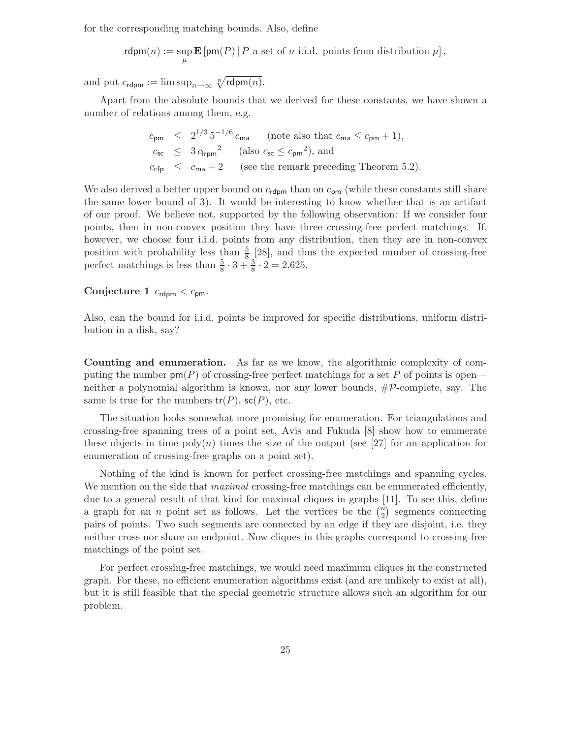for the corresponding matching bounds. Also, define

 $rdpm(n) := \sup_{\mu} \mathbf{E} [p m(P) | P \text{ a set of } n \text{ i.i.d. points from distribution } \mu],$ 

and put  $c_{\text{rdpm}} := \limsup_{n \to \infty} \sqrt[n]{r \text{dpm}(n)}$ .

Apart from the absolute bounds that we derived for these constants, we have shown a number of relations among them, e.g.

$$
c_{\rm pm} \leq 2^{1/3} 5^{-1/6} c_{\rm ma} \quad \text{(note also that } c_{\rm ma} \leq c_{\rm pm} + 1),
$$
  
\n
$$
c_{\rm sc} \leq 3 c_{\rm lrpm}^2 \quad \text{(also } c_{\rm sc} \leq c_{\rm pm}^2), \text{ and}
$$
  
\n
$$
c_{\rm cfp} \leq c_{\rm ma} + 2 \quad \text{(see the remark preceding Theorem 5.2)}.
$$

We also derived a better upper bound on  $c_{\text{rdpm}}$  than on  $c_{\text{pm}}$  (while these constants still share the same lower bound of 3). It would be interesting to know whether that is an artifact of our proof. We believe not, supported by the following observation: If we consider four points, then in non-convex position they have three crossing-free perfect matchings. If, however, we choose four i.i.d. points from any distribution, then they are in non-convex position with probability less than  $\frac{5}{8}$  [28], and thus the expected number of crossing-free perfect matchings is less than  $\frac{5}{8} \cdot 3 + \frac{3}{8} \cdot 2 = 2.625$ .

#### Conjecture 1  $c_{\text{rdpm}} < c_{\text{pm}}$ .

Also, can the bound for i.i.d. points be improved for specific distributions, uniform distribution in a disk, say?

Counting and enumeration. As far as we know, the algorithmic complexity of computing the number  $\textsf{pm}(P)$  of crossing-free perfect matchings for a set P of points is open neither a polynomial algorithm is known, nor any lower bounds, #P-complete, say. The same is true for the numbers  $tr(P)$ ,  $sc(P)$ , etc.

The situation looks somewhat more promising for enumeration. For triangulations and crossing-free spanning trees of a point set, Avis and Fukuda [8] show how to enumerate these objects in time  $poly(n)$  times the size of the output (see [27] for an application for enumeration of crossing-free graphs on a point set).

Nothing of the kind is known for perfect crossing-free matchings and spanning cycles. We mention on the side that *maximal* crossing-free matchings can be enumerated efficiently, due to a general result of that kind for maximal cliques in graphs [11]. To see this, define a graph for an *n* point set as follows. Let the vertices be the  $\binom{n}{2}$  segments connecting pairs of points. Two such segments are connected by an edge if they are disjoint, i.e. they neither cross nor share an endpoint. Now cliques in this graphs correspond to crossing-free matchings of the point set.

For perfect crossing-free matchings, we would need maximum cliques in the constructed graph. For these, no efficient enumeration algorithms exist (and are unlikely to exist at all), but it is still feasible that the special geometric structure allows such an algorithm for our problem.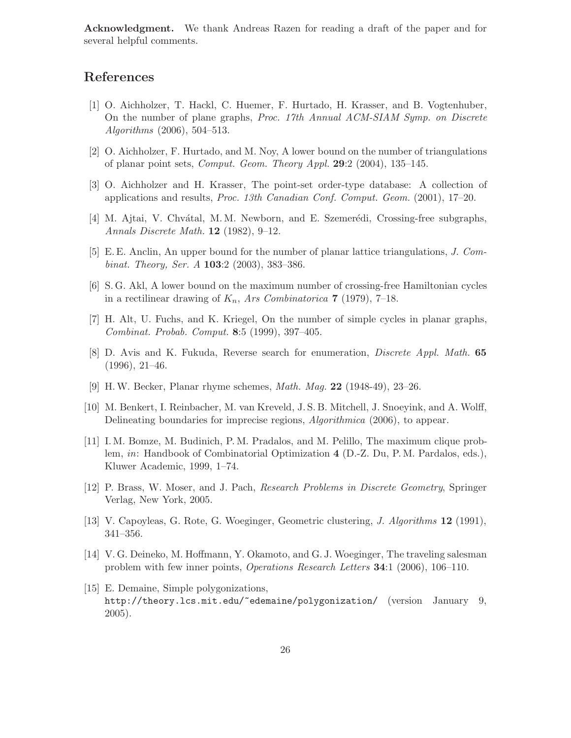Acknowledgment. We thank Andreas Razen for reading a draft of the paper and for several helpful comments.

## References

- [1] O. Aichholzer, T. Hackl, C. Huemer, F. Hurtado, H. Krasser, and B. Vogtenhuber, On the number of plane graphs, Proc. 17th Annual ACM-SIAM Symp. on Discrete Algorithms (2006), 504–513.
- [2] O. Aichholzer, F. Hurtado, and M. Noy, A lower bound on the number of triangulations of planar point sets, Comput. Geom. Theory Appl. 29:2 (2004), 135–145.
- [3] O. Aichholzer and H. Krasser, The point-set order-type database: A collection of applications and results, Proc. 13th Canadian Conf. Comput. Geom. (2001), 17–20.
- [4] M. Ajtai, V. Chvátal, M. M. Newborn, and E. Szemerédi, Crossing-free subgraphs, Annals Discrete Math. 12 (1982), 9–12.
- [5] E. E. Anclin, An upper bound for the number of planar lattice triangulations, J. Combinat. Theory, Ser. A 103:2 (2003), 383–386.
- [6] S. G. Akl, A lower bound on the maximum number of crossing-free Hamiltonian cycles in a rectilinear drawing of  $K_n$ , Ars Combinatorica 7 (1979), 7–18.
- [7] H. Alt, U. Fuchs, and K. Kriegel, On the number of simple cycles in planar graphs, Combinat. Probab. Comput. 8:5 (1999), 397–405.
- [8] D. Avis and K. Fukuda, Reverse search for enumeration, Discrete Appl. Math. 65 (1996), 21–46.
- [9] H.W. Becker, Planar rhyme schemes, Math. Mag. 22 (1948-49), 23–26.
- [10] M. Benkert, I. Reinbacher, M. van Kreveld, J. S. B. Mitchell, J. Snoeyink, and A. Wolff, Delineating boundaries for imprecise regions, Algorithmica (2006), to appear.
- [11] I. M. Bomze, M. Budinich, P. M. Pradalos, and M. Pelillo, The maximum clique problem, in: Handbook of Combinatorial Optimization 4 (D.-Z. Du, P. M. Pardalos, eds.), Kluwer Academic, 1999, 1–74.
- [12] P. Brass, W. Moser, and J. Pach, Research Problems in Discrete Geometry, Springer Verlag, New York, 2005.
- [13] V. Capoyleas, G. Rote, G. Woeginger, Geometric clustering, J. Algorithms 12 (1991), 341–356.
- [14] V. G. Deineko, M. Hoffmann, Y. Okamoto, and G. J. Woeginger, The traveling salesman problem with few inner points, Operations Research Letters 34:1 (2006), 106–110.
- [15] E. Demaine, Simple polygonizations, http://theory.lcs.mit.edu/~edemaine/polygonization/ (version January 9, 2005).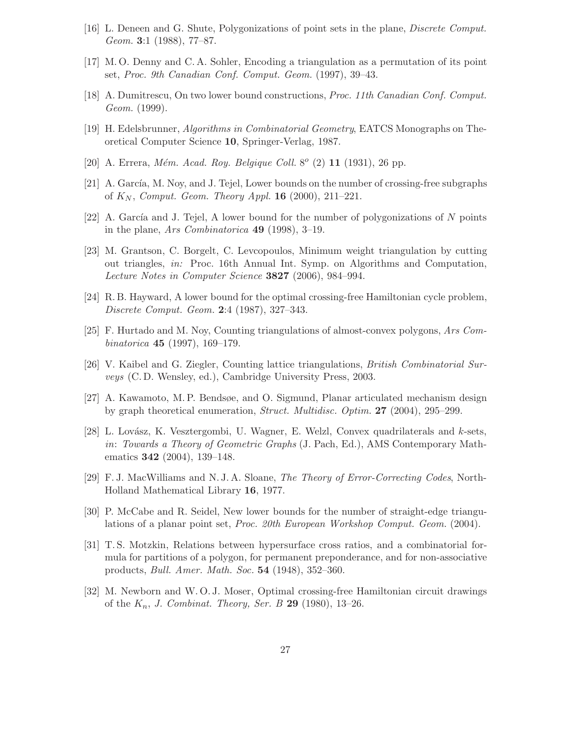- [16] L. Deneen and G. Shute, Polygonizations of point sets in the plane, Discrete Comput. Geom. **3**:1 (1988), 77–87.
- [17] M. O. Denny and C. A. Sohler, Encoding a triangulation as a permutation of its point set, Proc. 9th Canadian Conf. Comput. Geom. (1997), 39–43.
- [18] A. Dumitrescu, On two lower bound constructions, Proc. 11th Canadian Conf. Comput. Geom. (1999).
- [19] H. Edelsbrunner, Algorithms in Combinatorial Geometry, EATCS Monographs on Theoretical Computer Science 10, Springer-Verlag, 1987.
- [20] A. Errera, *Mém. Acad. Roy. Belgique Coll.* 8<sup> $o$ </sup> (2) 11 (1931), 26 pp.
- [21] A. García, M. Noy, and J. Tejel, Lower bounds on the number of crossing-free subgraphs of  $K_N$ , Comput. Geom. Theory Appl. 16 (2000), 211–221.
- [22] A. García and J. Tejel, A lower bound for the number of polygonizations of N points in the plane, Ars Combinatorica 49 (1998), 3–19.
- [23] M. Grantson, C. Borgelt, C. Levcopoulos, Minimum weight triangulation by cutting out triangles, in: Proc. 16th Annual Int. Symp. on Algorithms and Computation, Lecture Notes in Computer Science 3827 (2006), 984–994.
- [24] R. B. Hayward, A lower bound for the optimal crossing-free Hamiltonian cycle problem, Discrete Comput. Geom. 2:4 (1987), 327–343.
- [25] F. Hurtado and M. Noy, Counting triangulations of almost-convex polygons, Ars Combinatorica 45 (1997), 169–179.
- [26] V. Kaibel and G. Ziegler, Counting lattice triangulations, British Combinatorial Surveys (C. D. Wensley, ed.), Cambridge University Press, 2003.
- [27] A. Kawamoto, M. P. Bendsøe, and O. Sigmund, Planar articulated mechanism design by graph theoretical enumeration, Struct. Multidisc. Optim. 27 (2004), 295–299.
- [28] L. Lovász, K. Vesztergombi, U. Wagner, E. Welzl, Convex quadrilaterals and  $k$ -sets, in: Towards a Theory of Geometric Graphs (J. Pach, Ed.), AMS Contemporary Mathematics 342 (2004), 139–148.
- [29] F. J. MacWilliams and N. J. A. Sloane, The Theory of Error-Correcting Codes, North-Holland Mathematical Library 16, 1977.
- [30] P. McCabe and R. Seidel, New lower bounds for the number of straight-edge triangulations of a planar point set, Proc. 20th European Workshop Comput. Geom. (2004).
- [31] T. S. Motzkin, Relations between hypersurface cross ratios, and a combinatorial formula for partitions of a polygon, for permanent preponderance, and for non-associative products, Bull. Amer. Math. Soc. 54 (1948), 352–360.
- [32] M. Newborn and W. O. J. Moser, Optimal crossing-free Hamiltonian circuit drawings of the  $K_n$ , J. Combinat. Theory, Ser. B 29 (1980), 13-26.